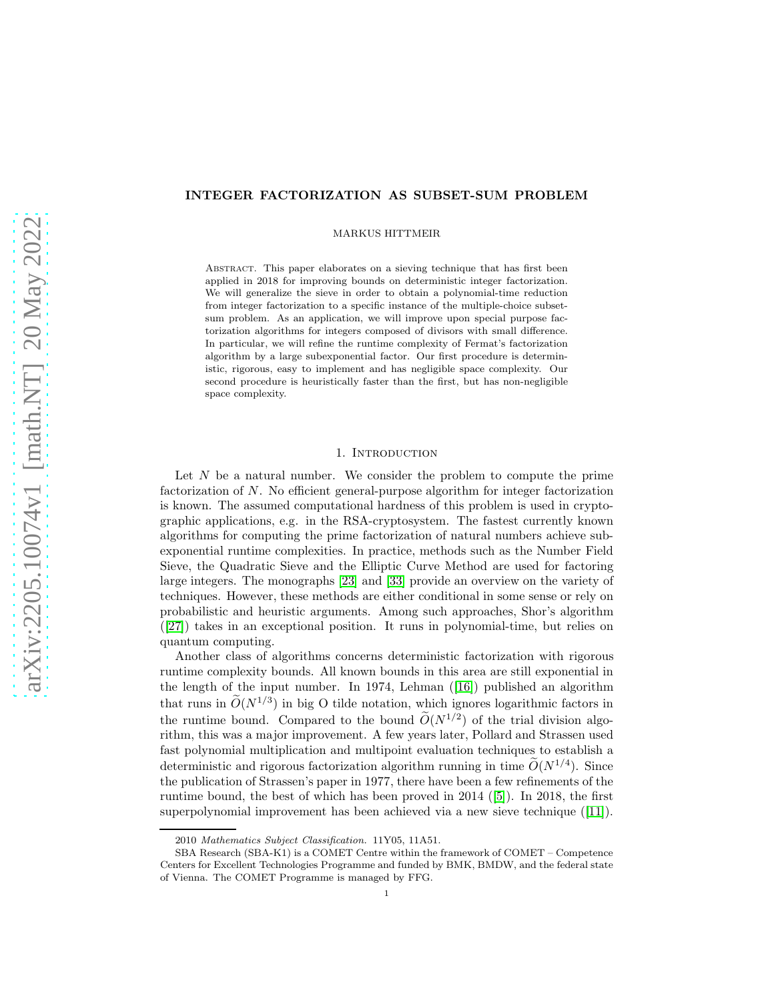# INTEGER FACTORIZATION AS SUBSET-SUM PROBLEM

MARKUS HITTMEIR

Abstract. This paper elaborates on a sieving technique that has first been applied in 2018 for improving bounds on deterministic integer factorization. We will generalize the sieve in order to obtain a polynomial-time reduction from integer factorization to a specific instance of the multiple-choice subsetsum problem. As an application, we will improve upon special purpose factorization algorithms for integers composed of divisors with small difference. In particular, we will refine the runtime complexity of Fermat's factorization algorithm by a large subexponential factor. Our first procedure is deterministic, rigorous, easy to implement and has negligible space complexity. Our second procedure is heuristically faster than the first, but has non-negligible space complexity.

## 1. INTRODUCTION

Let  $N$  be a natural number. We consider the problem to compute the prime factorization of N. No efficient general-purpose algorithm for integer factorization is known. The assumed computational hardness of this problem is used in cryptographic applications, e.g. in the RSA-cryptosystem. The fastest currently known algorithms for computing the prime factorization of natural numbers achieve subexponential runtime complexities. In practice, methods such as the Number Field Sieve, the Quadratic Sieve and the Elliptic Curve Method are used for factoring large integers. The monographs [\[23\]](#page-21-0) and [\[33\]](#page-21-1) provide an overview on the variety of techniques. However, these methods are either conditional in some sense or rely on probabilistic and heuristic arguments. Among such approaches, Shor's algorithm ([\[27\]](#page-21-2)) takes in an exceptional position. It runs in polynomial-time, but relies on quantum computing.

Another class of algorithms concerns deterministic factorization with rigorous runtime complexity bounds. All known bounds in this area are still exponential in the length of the input number. In 1974, Lehman ([\[16\]](#page-21-3)) published an algorithm that runs in  $\tilde{O}(N^{1/3})$  in big O tilde notation, which ignores logarithmic factors in the runtime bound. Compared to the bound  $O(N^{1/2})$  of the trial division algorithm, this was a major improvement. A few years later, Pollard and Strassen used fast polynomial multiplication and multipoint evaluation techniques to establish a deterministic and rigorous factorization algorithm running in time  $O(N^{1/4})$ . Since the publication of Strassen's paper in 1977, there have been a few refinements of the runtime bound, the best of which has been proved in 2014 ([\[5\]](#page-20-0)). In 2018, the first superpolynomial improvement has been achieved via a new sieve technique ([\[11\]](#page-21-4)).

<sup>2010</sup> Mathematics Subject Classification. 11Y05, 11A51.

SBA Research (SBA-K1) is a COMET Centre within the framework of COMET – Competence Centers for Excellent Technologies Programme and funded by BMK, BMDW, and the federal state of Vienna. The COMET Programme is managed by FFG.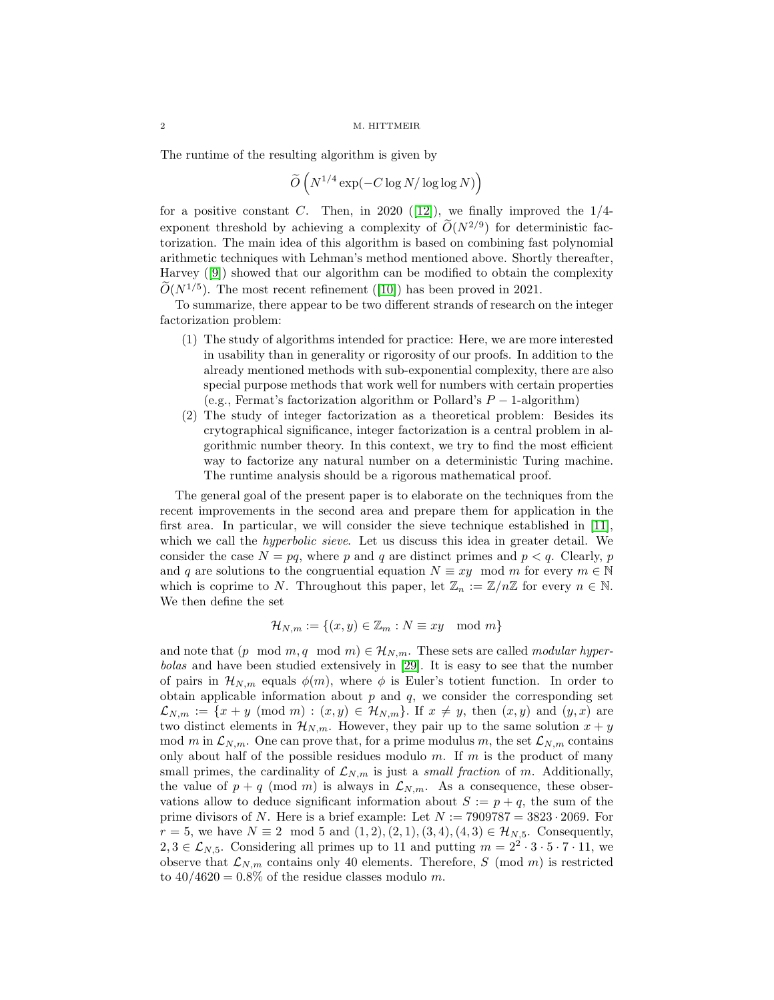The runtime of the resulting algorithm is given by

$$
\widetilde{O}\left(N^{1/4}\exp(-C\log N/\log\log N)\right)
$$

for a positive constant C. Then, in 2020 ([\[12\]](#page-21-5)), we finally improved the  $1/4$ exponent threshold by achieving a complexity of  $O(N^{2/9})$  for deterministic factorization. The main idea of this algorithm is based on combining fast polynomial arithmetic techniques with Lehman's method mentioned above. Shortly thereafter, Harvey ([\[9\]](#page-21-6)) showed that our algorithm can be modified to obtain the complexity  $O(N^{1/5})$ . The most recent refinement ([\[10\]](#page-21-7)) has been proved in 2021.

To summarize, there appear to be two different strands of research on the integer factorization problem:

- (1) The study of algorithms intended for practice: Here, we are more interested in usability than in generality or rigorosity of our proofs. In addition to the already mentioned methods with sub-exponential complexity, there are also special purpose methods that work well for numbers with certain properties (e.g., Fermat's factorization algorithm or Pollard's  $P-1$ -algorithm)
- (2) The study of integer factorization as a theoretical problem: Besides its crytographical significance, integer factorization is a central problem in algorithmic number theory. In this context, we try to find the most efficient way to factorize any natural number on a deterministic Turing machine. The runtime analysis should be a rigorous mathematical proof.

The general goal of the present paper is to elaborate on the techniques from the recent improvements in the second area and prepare them for application in the first area. In particular, we will consider the sieve technique established in [\[11\]](#page-21-4), which we call the *hyperbolic sieve*. Let us discuss this idea in greater detail. We consider the case  $N = pq$ , where p and q are distinct primes and  $p < q$ . Clearly, p and q are solutions to the congruential equation  $N \equiv xy \mod m$  for every  $m \in \mathbb{N}$ which is coprime to N. Throughout this paper, let  $\mathbb{Z}_n := \mathbb{Z}/n\mathbb{Z}$  for every  $n \in \mathbb{N}$ . We then define the set

$$
\mathcal{H}_{N,m} := \{(x, y) \in \mathbb{Z}_m : N \equiv xy \mod m\}
$$

and note that  $(p \mod m, q \mod m) \in \mathcal{H}_{N,m}$ . These sets are called *modular hyper*bolas and have been studied extensively in [\[29\]](#page-21-8). It is easy to see that the number of pairs in  $\mathcal{H}_{N,m}$  equals  $\phi(m)$ , where  $\phi$  is Euler's totient function. In order to obtain applicable information about  $p$  and  $q$ , we consider the corresponding set  $\mathcal{L}_{N,m} := \{x+y \pmod{m} : (x,y) \in \mathcal{H}_{N,m}\}.$  If  $x \neq y$ , then  $(x,y)$  and  $(y,x)$  are two distinct elements in  $\mathcal{H}_{N,m}$ . However, they pair up to the same solution  $x + y$ mod m in  $\mathcal{L}_{N,m}$ . One can prove that, for a prime modulus m, the set  $\mathcal{L}_{N,m}$  contains only about half of the possible residues modulo  $m$ . If  $m$  is the product of many small primes, the cardinality of  $\mathcal{L}_{N,m}$  is just a *small fraction* of m. Additionally, the value of  $p + q \pmod{m}$  is always in  $\mathcal{L}_{N,m}$ . As a consequence, these observations allow to deduce significant information about  $S := p + q$ , the sum of the prime divisors of N. Here is a brief example: Let  $N := 7909787 = 3823 \cdot 2069$ . For  $r = 5$ , we have  $N \equiv 2 \mod 5$  and  $(1, 2), (2, 1), (3, 4), (4, 3) \in \mathcal{H}_{N,5}$ . Consequently, 2, 3 ∈  $\mathcal{L}_{N,5}$ . Considering all primes up to 11 and putting  $m = 2^2 \cdot 3 \cdot 5 \cdot 7 \cdot 11$ , we observe that  $\mathcal{L}_{N,m}$  contains only 40 elements. Therefore, S (mod m) is restricted to  $40/4620 = 0.8\%$  of the residue classes modulo m.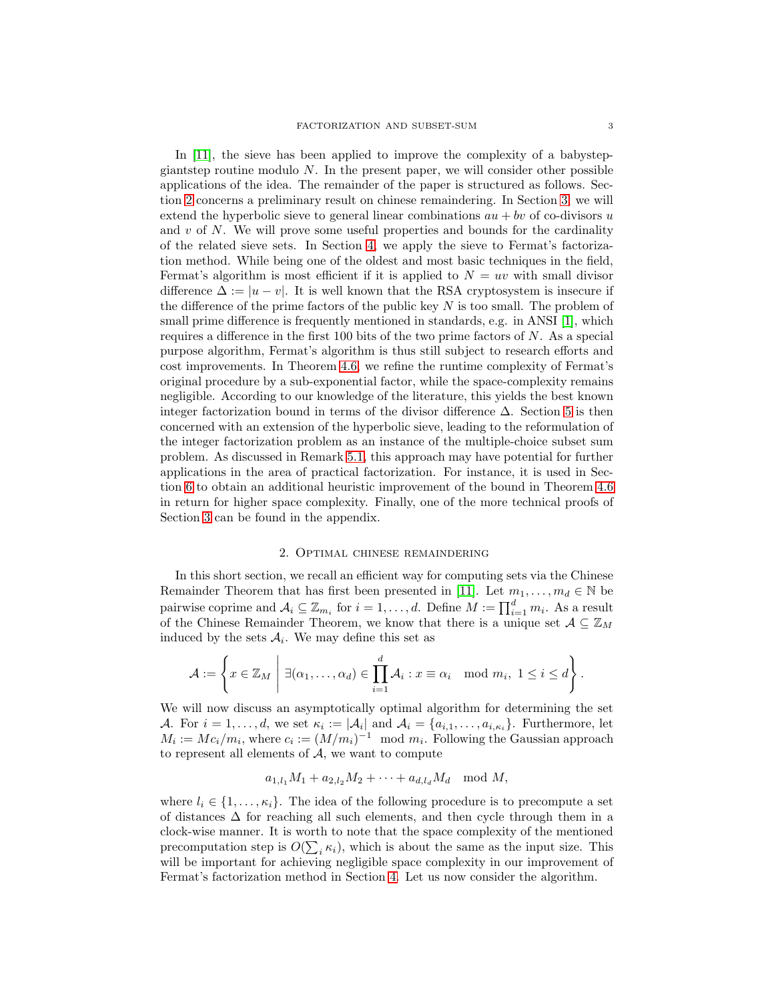In [\[11\]](#page-21-4), the sieve has been applied to improve the complexity of a babystepgiantstep routine modulo  $N$ . In the present paper, we will consider other possible applications of the idea. The remainder of the paper is structured as follows. Section [2](#page-2-0) concerns a preliminary result on chinese remaindering. In Section [3,](#page-3-0) we will extend the hyperbolic sieve to general linear combinations  $au + bv$  of co-divisors u and  $v$  of  $N$ . We will prove some useful properties and bounds for the cardinality of the related sieve sets. In Section [4,](#page-6-0) we apply the sieve to Fermat's factorization method. While being one of the oldest and most basic techniques in the field, Fermat's algorithm is most efficient if it is applied to  $N = uv$  with small divisor difference  $\Delta := |u - v|$ . It is well known that the RSA cryptosystem is insecure if the difference of the prime factors of the public key  $N$  is too small. The problem of small prime difference is frequently mentioned in standards, e.g. in ANSI [\[1\]](#page-20-1), which requires a difference in the first 100 bits of the two prime factors of N. As a special purpose algorithm, Fermat's algorithm is thus still subject to research efforts and cost improvements. In Theorem [4.6,](#page-9-0) we refine the runtime complexity of Fermat's original procedure by a sub-exponential factor, while the space-complexity remains negligible. According to our knowledge of the literature, this yields the best known integer factorization bound in terms of the divisor difference  $\Delta$ . Section [5](#page-10-0) is then concerned with an extension of the hyperbolic sieve, leading to the reformulation of the integer factorization problem as an instance of the multiple-choice subset sum problem. As discussed in Remark [5.1,](#page-12-0) this approach may have potential for further applications in the area of practical factorization. For instance, it is used in Section [6](#page-13-0) to obtain an additional heuristic improvement of the bound in Theorem [4.6](#page-9-0) in return for higher space complexity. Finally, one of the more technical proofs of Section [3](#page-3-0) can be found in the appendix.

## 2. Optimal chinese remaindering

<span id="page-2-0"></span>In this short section, we recall an efficient way for computing sets via the Chinese Remainder Theorem that has first been presented in [\[11\]](#page-21-4). Let  $m_1, \ldots, m_d \in \mathbb{N}$  be pairwise coprime and  $\mathcal{A}_i \subseteq \mathbb{Z}_{m_i}$  for  $i = 1, ..., d$ . Define  $M := \prod_{i=1}^d m_i$ . As a result of the Chinese Remainder Theorem, we know that there is a unique set  $A \subseteq \mathbb{Z}_M$ induced by the sets  $A_i$ . We may define this set as

$$
\mathcal{A} := \left\{ x \in \mathbb{Z}_M \; \middle| \; \exists (\alpha_1, \ldots, \alpha_d) \in \prod_{i=1}^d \mathcal{A}_i : x \equiv \alpha_i \mod m_i, \; 1 \leq i \leq d \right\}.
$$

We will now discuss an asymptotically optimal algorithm for determining the set A. For  $i = 1, \ldots, d$ , we set  $\kappa_i := |\mathcal{A}_i|$  and  $\mathcal{A}_i = \{a_{i,1}, \ldots, a_{i,\kappa_i}\}$ . Furthermore, let  $M_i := Mc_i/m_i$ , where  $c_i := (M/m_i)^{-1} \mod m_i$ . Following the Gaussian approach to represent all elements of A, we want to compute

$$
a_{1,l_1}M_1 + a_{2,l_2}M_2 + \cdots + a_{d,l_d}M_d \mod M,
$$

<span id="page-2-1"></span>where  $l_i \in \{1, \ldots, \kappa_i\}$ . The idea of the following procedure is to precompute a set of distances  $\Delta$  for reaching all such elements, and then cycle through them in a clock-wise manner. It is worth to note that the space complexity of the mentioned precomputation step is  $O(\sum_i \kappa_i)$ , which is about the same as the input size. This will be important for achieving negligible space complexity in our improvement of Fermat's factorization method in Section [4.](#page-6-0) Let us now consider the algorithm.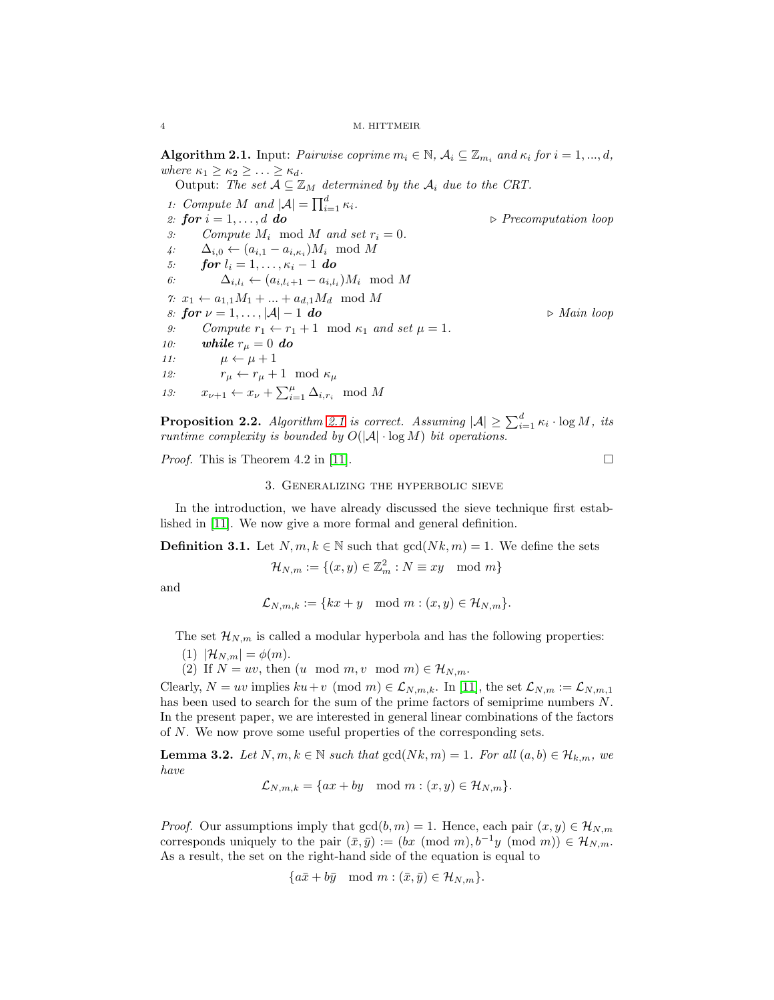**Algorithm 2.1.** Input: Pairwise coprime  $m_i \in \mathbb{N}$ ,  $\mathcal{A}_i \subseteq \mathbb{Z}_{m_i}$  and  $\kappa_i$  for  $i = 1, ..., d$ , where  $\kappa_1 \geq \kappa_2 \geq \ldots \geq \kappa_d$ .

Output: The set  $A \subseteq \mathbb{Z}_M$  determined by the  $A_i$  due to the CRT. 1: Compute M and  $|\mathcal{A}| = \prod_{i=1}^d \kappa_i$ . 2: for  $i = 1, \ldots, d$  do  $\triangleright$  Precomputation loop 3: Compute  $M_i \mod M$  and set  $r_i = 0$ . 4:  $\Delta_{i,0} \leftarrow (a_{i,1} - a_{i,\kappa_i})M_i \mod M$ 5: **for**  $l_i = 1, ..., \kappa_i - 1$  **do**<br>6:  $\Delta_{i,l_i} \leftarrow (a_{i,l_i+1} - a_{i,l_i})$ 6:  $\Delta_{i,l_i} \leftarrow (a_{i,l_i+1} - a_{i,l_i})M_i \mod M$ 7:  $x_1 \leftarrow a_{1,1}M_1 + ... + a_{d,1}M_d \mod M$ <br>8: **for**  $\nu = 1, ...$   $|\mathcal{A}| - 1$  **do** 8: for  $\nu = 1, ..., |\mathcal{A}| - 1$  do  $\rightarrow$  Main loop<br>9: Compute  $r_1 \leftarrow r_1 + 1 \mod \kappa_1$  and set  $\mu = 1$ . 9: Compute  $r_1 \leftarrow r_1 + 1 \mod \kappa_1$  and set  $\mu = 1$ .<br>10: **while**  $r_{\mu} = 0$  **do** while  $r_{\mu} = 0$  do 11:  $\mu \leftarrow \mu + 1$ <br>
12:  $r_{\mu} \leftarrow r_{\mu} +$  $r_{\mu} \leftarrow r_{\mu} + 1 \mod \kappa_{\mu}$ 13:  $x_{\nu+1} \leftarrow x_{\nu} + \sum_{i=1}^{\mu} \Delta_{i,r_i} \mod M$ 

**Proposition 2.2.** Algorithm [2.1](#page-2-1) is correct. Assuming  $|\mathcal{A}| \ge \sum_{i=1}^d \kappa_i \cdot \log M$ , its runtime complexity is bounded by  $O(|A| \cdot \log M)$  bit operations.

<span id="page-3-0"></span>*Proof.* This is Theorem 4.2 in [\[11\]](#page-21-4).

## 3. Generalizing the hyperbolic sieve

<span id="page-3-1"></span>In the introduction, we have already discussed the sieve technique first established in [\[11\]](#page-21-4). We now give a more formal and general definition.

**Definition 3.1.** Let  $N, m, k \in \mathbb{N}$  such that  $gcd(Nk, m) = 1$ . We define the sets

 $\mathcal{H}_{N,m} := \{(x,y) \in \mathbb{Z}_m^2 : N \equiv xy \mod m\}$ 

and

 $\mathcal{L}_{N,m,k} := \{kx + y \mod m : (x, y) \in \mathcal{H}_{N,m}\}.$ 

The set  $\mathcal{H}_{N,m}$  is called a modular hyperbola and has the following properties:

(1)  $|\mathcal{H}_{N,m}| = \phi(m)$ .

(2) If  $N = uv$ , then  $(u \mod m, v \mod m) \in \mathcal{H}_{N,m}$ .

Clearly,  $N = uv$  implies  $ku + v \pmod{m} \in \mathcal{L}_{N,m,k}$ . In [\[11\]](#page-21-4), the set  $\mathcal{L}_{N,m} := \mathcal{L}_{N,m,1}$ has been used to search for the sum of the prime factors of semiprime numbers N. In the present paper, we are interested in general linear combinations of the factors of N. We now prove some useful properties of the corresponding sets.

**Lemma 3.2.** Let  $N, m, k \in \mathbb{N}$  such that  $gcd(Nk, m) = 1$ . For all  $(a, b) \in \mathcal{H}_{k,m}$ , we have

$$
\mathcal{L}_{N,m,k} = \{ax + by \mod m : (x,y) \in \mathcal{H}_{N,m}\}.
$$

*Proof.* Our assumptions imply that  $gcd(b, m) = 1$ . Hence, each pair  $(x, y) \in \mathcal{H}_{N,m}$ corresponds uniquely to the pair  $(\bar{x}, \bar{y}) := (bx \pmod{m}, b^{-1}y \pmod{m}) \in \mathcal{H}_{N,m}$ . As a result, the set on the right-hand side of the equation is equal to

$$
\{a\bar{x} + b\bar{y} \mod m : (\bar{x}, \bar{y}) \in \mathcal{H}_{N,m}\}.
$$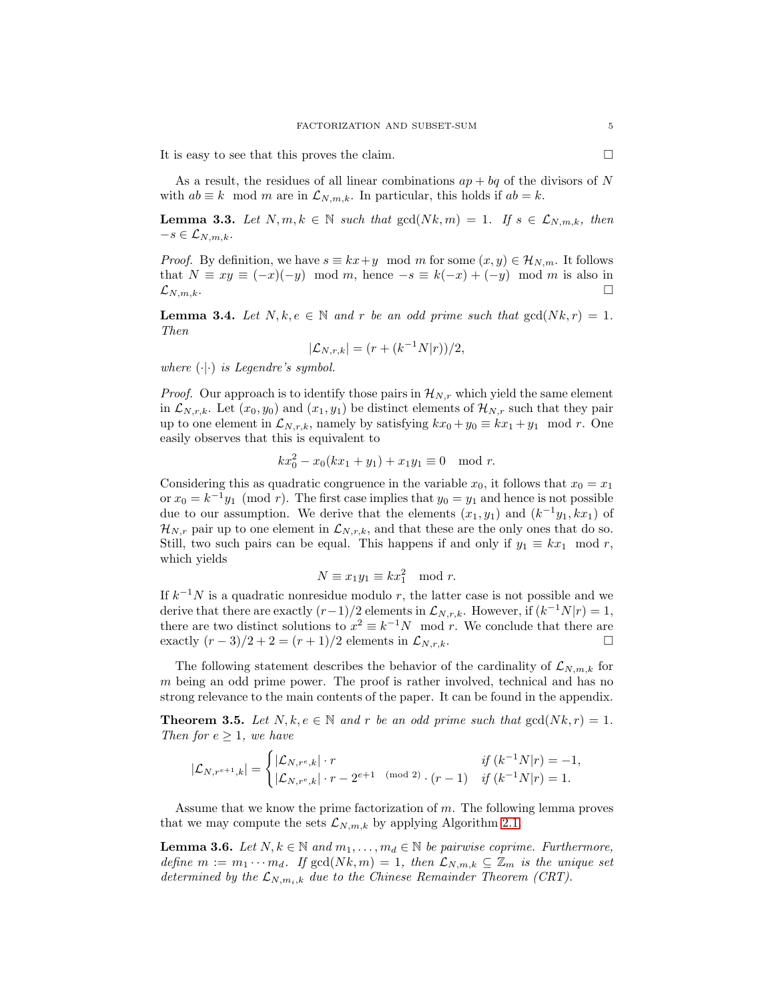It is easy to see that this proves the claim.

As a result, the residues of all linear combinations  $ap + bq$  of the divisors of N with  $ab \equiv k \mod m$  are in  $\mathcal{L}_{N,m,k}$ . In particular, this holds if  $ab = k$ .

**Lemma 3.3.** Let  $N, m, k \in \mathbb{N}$  such that  $gcd(Nk, m) = 1$ . If  $s \in \mathcal{L}_{N,m,k}$ , then  $-s \in \mathcal{L}_{N,m,k}.$ 

*Proof.* By definition, we have  $s \equiv kx+y \mod m$  for some  $(x, y) \in \mathcal{H}_{N,m}$ . It follows that  $N \equiv xy \equiv (-x)(-y) \mod m$ , hence  $-s \equiv k(-x) + (-y) \mod m$  is also in  $\mathcal{L}_{N,m,k}$ . □  $\mathcal{L}_{N,m,k}.$ 

<span id="page-4-1"></span>**Lemma 3.4.** Let  $N, k, e \in \mathbb{N}$  and r be an odd prime such that  $gcd(Nk, r) = 1$ . Then

$$
|\mathcal{L}_{N,r,k}| = (r + (k^{-1}N|r))/2,
$$

where  $(\cdot | \cdot)$  is Legendre's symbol.

*Proof.* Our approach is to identify those pairs in  $\mathcal{H}_{N,r}$  which yield the same element in  $\mathcal{L}_{N,r,k}$ . Let  $(x_0, y_0)$  and  $(x_1, y_1)$  be distinct elements of  $\mathcal{H}_{N,r}$  such that they pair up to one element in  $\mathcal{L}_{N,r,k}$ , namely by satisfying  $kx_0 + y_0 \equiv kx_1 + y_1 \mod r$ . One easily observes that this is equivalent to

$$
kx_0^2 - x_0(kx_1 + y_1) + x_1y_1 \equiv 0 \mod r.
$$

Considering this as quadratic congruence in the variable  $x_0$ , it follows that  $x_0 = x_1$ or  $x_0 = k^{-1}y_1 \pmod{r}$ . The first case implies that  $y_0 = y_1$  and hence is not possible due to our assumption. We derive that the elements  $(x_1, y_1)$  and  $(k^{-1}y_1, kx_1)$  of  $\mathcal{H}_{N,r}$  pair up to one element in  $\mathcal{L}_{N,r,k}$ , and that these are the only ones that do so. Still, two such pairs can be equal. This happens if and only if  $y_1 \equiv kx_1 \mod r$ , which yields

$$
N \equiv x_1 y_1 \equiv k x_1^2 \mod r.
$$

If  $k^{-1}N$  is a quadratic nonresidue modulo r, the latter case is not possible and we derive that there are exactly  $(r-1)/2$  elements in  $\mathcal{L}_{N,r,k}$ . However, if  $(k^{-1}N|r) = 1$ , there are two distinct solutions to  $x^2 \equiv k^{-1}N \mod r$ . We conclude that there are exactly  $(r-3)/2 + 2 = (r+1)/2$  elements in  $\mathcal{L}_{N,r,k}$ .

The following statement describes the behavior of the cardinality of  $\mathcal{L}_{N,m,k}$  for  $m$  being an odd prime power. The proof is rather involved, technical and has no strong relevance to the main contents of the paper. It can be found in the appendix.

<span id="page-4-2"></span>**Theorem 3.5.** Let  $N, k, e \in \mathbb{N}$  and r be an odd prime such that  $gcd(Nk, r) = 1$ . Then for  $e \geq 1$ , we have

$$
|\mathcal{L}_{N,r^{e+1},k}|=\begin{cases} |\mathcal{L}_{N,r^e,k}|\cdot r & \textit{if }(k^{-1}N|r)=-1,\\ |\mathcal{L}_{N,r^e,k}|\cdot r-2^{e+1}\pmod 2\cdot (r-1) & \textit{if }(k^{-1}N|r)=1.\end{cases}
$$

<span id="page-4-0"></span>Assume that we know the prime factorization of m. The following lemma proves that we may compute the sets  $\mathcal{L}_{N,m,k}$  by applying Algorithm [2.1.](#page-2-1)

**Lemma 3.6.** Let  $N, k \in \mathbb{N}$  and  $m_1, \ldots, m_d \in \mathbb{N}$  be pairwise coprime. Furthermore, define  $m := m_1 \cdots m_d$ . If  $gcd(Nk, m) = 1$ , then  $\mathcal{L}_{N,m,k} \subseteq \mathbb{Z}_m$  is the unique set determined by the  $\mathcal{L}_{N,m_i,k}$  due to the Chinese Remainder Theorem (CRT).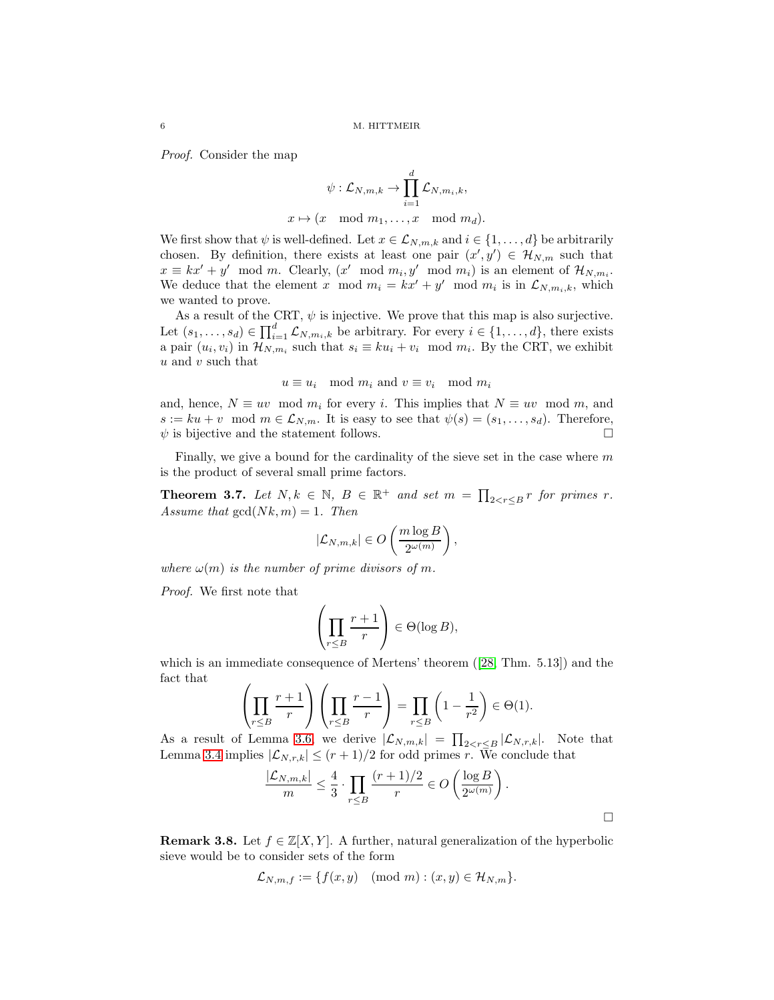Proof. Consider the map

$$
\psi: \mathcal{L}_{N,m,k} \to \prod_{i=1}^d \mathcal{L}_{N,m_i,k},
$$
  

$$
x \mapsto (x \mod m_1, \dots, x \mod m_d).
$$

We first show that  $\psi$  is well-defined. Let  $x \in \mathcal{L}_{N,m,k}$  and  $i \in \{1,\ldots,d\}$  be arbitrarily chosen. By definition, there exists at least one pair  $(x', y') \in \mathcal{H}_{N,m}$  such that  $x \equiv kx' + y' \mod m$ . Clearly,  $(x' \mod m_i, y' \mod m_i)$  is an element of  $\mathcal{H}_{N,m_i}$ . We deduce that the element x mod  $m_i = kx' + y' \mod m_i$  is in  $\mathcal{L}_{N,m_i,k}$ , which we wanted to prove.

As a result of the CRT,  $\psi$  is injective. We prove that this map is also surjective. Let  $(s_1, \ldots, s_d) \in \prod_{i=1}^d \mathcal{L}_{N,m_i,k}$  be arbitrary. For every  $i \in \{1, \ldots, d\}$ , there exists a pair  $(u_i, v_i)$  in  $\mathcal{H}_{N,m_i}$  such that  $s_i \equiv ku_i + v_i \mod m_i$ . By the CRT, we exhibit  $u$  and  $v$  such that

$$
u \equiv u_i \mod m_i
$$
 and  $v \equiv v_i \mod m_i$ 

and, hence,  $N \equiv uv \mod m_i$  for every i. This implies that  $N \equiv uv \mod m$ , and  $s := ku + v \mod m \in \mathcal{L}_{N,m}$ . It is easy to see that  $\psi(s) = (s_1, \ldots, s_d)$ . Therefore,  $\psi$  is bijective and the statement follows.  $\psi$  is bijective and the statement follows.

<span id="page-5-0"></span>Finally, we give a bound for the cardinality of the sieve set in the case where  $m$ is the product of several small prime factors.

**Theorem 3.7.** Let  $N, k \in \mathbb{N}$ ,  $B \in \mathbb{R}^+$  and set  $m = \prod_{2 < r \leq B} r$  for primes r. Assume that  $gcd(Nk, m) = 1$ . Then

$$
|\mathcal{L}_{N,m,k}| \in O\left(\frac{m \log B}{2^{\omega(m)}}\right),
$$

where  $\omega(m)$  is the number of prime divisors of m.

Proof. We first note that

$$
\left(\prod_{r\leq B}\frac{r+1}{r}\right)\in\Theta(\log B),
$$

which is an immediate consequence of Mertens' theorem ([\[28,](#page-21-9) Thm. 5.13]) and the fact that

$$
\left(\prod_{r\leq B}\frac{r+1}{r}\right)\left(\prod_{r\leq B}\frac{r-1}{r}\right) = \prod_{r\leq B}\left(1-\frac{1}{r^2}\right) \in \Theta(1).
$$

As a result of Lemma [3.6,](#page-4-0) we derive  $|\mathcal{L}_{N,m,k}| = \prod_{2 \leq r \leq B} |\mathcal{L}_{N,r,k}|$ . Note that Lemma [3.4](#page-4-1) implies  $|\mathcal{L}_{N,r,k}| \leq (r+1)/2$  for odd primes r. We conclude that

$$
\frac{|\mathcal{L}_{N,m,k}|}{m} \le \frac{4}{3} \cdot \prod_{r \le B} \frac{(r+1)/2}{r} \in O\left(\frac{\log B}{2^{\omega(m)}}\right).
$$

**Remark 3.8.** Let  $f \in \mathbb{Z}[X, Y]$ . A further, natural generalization of the hyperbolic sieve would be to consider sets of the form

$$
\mathcal{L}_{N,m,f} := \{ f(x,y) \pmod{m} : (x,y) \in \mathcal{H}_{N,m} \}.
$$

$$
\qquad \qquad \Box
$$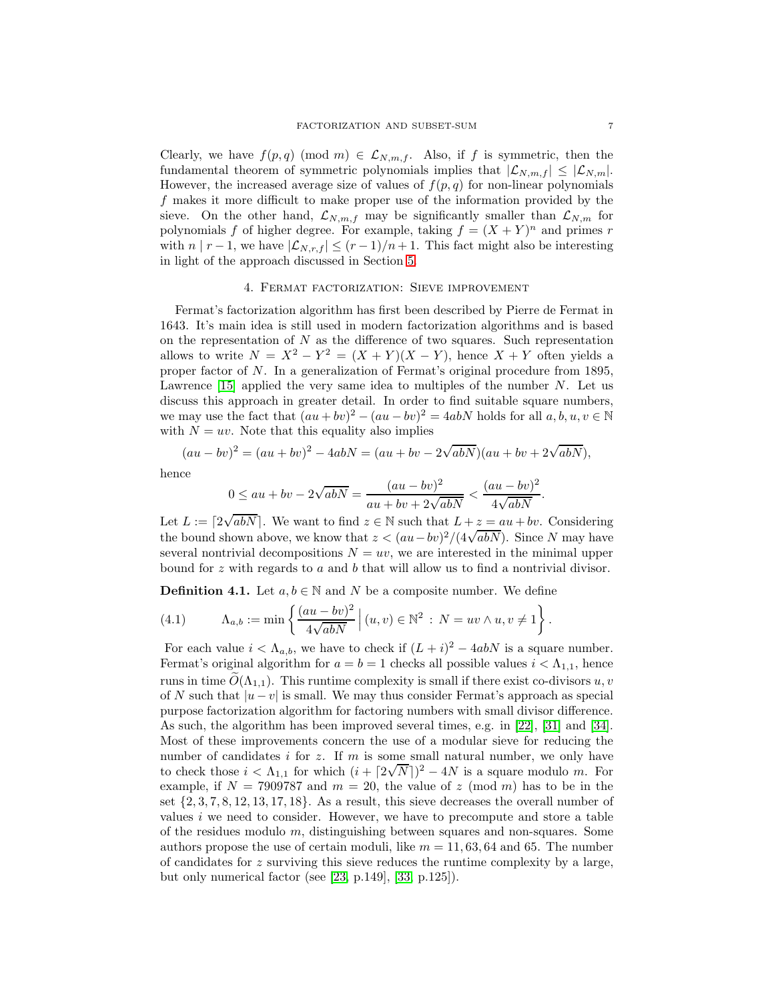Clearly, we have  $f(p,q) \pmod{m} \in \mathcal{L}_{N,m,f}$ . Also, if f is symmetric, then the fundamental theorem of symmetric polynomials implies that  $|\mathcal{L}_{N,m,f}| \leq |\mathcal{L}_{N,m}|$ . However, the increased average size of values of  $f(p,q)$  for non-linear polynomials f makes it more difficult to make proper use of the information provided by the sieve. On the other hand,  $\mathcal{L}_{N,m,f}$  may be significantly smaller than  $\mathcal{L}_{N,m}$  for polynomials f of higher degree. For example, taking  $f = (X + Y)^n$  and primes r with  $n | r - 1$ , we have  $|\mathcal{L}_{N,r,f}| \le (r-1)/n+1$ . This fact might also be interesting in light of the approach discussed in Section [5.](#page-10-0)

## 4. Fermat factorization: Sieve improvement

<span id="page-6-0"></span>Fermat's factorization algorithm has first been described by Pierre de Fermat in 1643. It's main idea is still used in modern factorization algorithms and is based on the representation of  $N$  as the difference of two squares. Such representation allows to write  $N = X^2 - Y^2 = (X + Y)(X - Y)$ , hence  $X + Y$  often yields a proper factor of N. In a generalization of Fermat's original procedure from 1895, Lawrence  $[15]$  applied the very same idea to multiples of the number N. Let us discuss this approach in greater detail. In order to find suitable square numbers, we may use the fact that  $(au + bv)^2 - (au - bv)^2 = 4abN$  holds for all  $a, b, u, v \in \mathbb{N}$ with  $N = uv$ . Note that this equality also implies

$$
(au - bv)2 = (au + bv)2 - 4abN = (au + bv - 2\sqrt{abN})(au + bv + 2\sqrt{abN}),
$$

hence

$$
0 \le au + bv - 2\sqrt{abN} = \frac{(au - bv)^2}{au + bv + 2\sqrt{abN}} < \frac{(au - bv)^2}{4\sqrt{abN}}.
$$

Let  $L := \lceil 2\sqrt{abN} \rceil$ . We want to find  $z \in \mathbb{N}$  such that  $L + z = au + bv$ . Considering the bound shown above, we know that  $z < (au - bv)^2/(4\sqrt{abN})$ . Since N may have several nontrivial decompositions  $N = uv$ , we are interested in the minimal upper bound for  $z$  with regards to  $a$  and  $b$  that will allow us to find a nontrivial divisor.

**Definition 4.1.** Let  $a, b \in \mathbb{N}$  and N be a composite number. We define

<span id="page-6-1"></span>(4.1) 
$$
\Lambda_{a,b} := \min \left\{ \frac{(au - bv)^2}{4\sqrt{abN}} \middle| (u, v) \in \mathbb{N}^2 : N = uv \wedge u, v \neq 1 \right\}.
$$

For each value  $i < \Lambda_{a,b}$ , we have to check if  $(L+i)^2 - 4abN$  is a square number. Fermat's original algorithm for  $a = b = 1$  checks all possible values  $i < \Lambda_{1,1}$ , hence runs in time  $\tilde{O}(\Lambda_{1,1})$ . This runtime complexity is small if there exist co-divisors u, v of N such that  $|u - v|$  is small. We may thus consider Fermat's approach as special purpose factorization algorithm for factoring numbers with small divisor difference. As such, the algorithm has been improved several times, e.g. in [\[22\]](#page-21-11), [\[31\]](#page-21-12) and [\[34\]](#page-21-13). Most of these improvements concern the use of a modular sieve for reducing the number of candidates  $i$  for  $z$ . If  $m$  is some small natural number, we only have to check those  $i < \Lambda_{1,1}$  for which  $(i + \lceil 2\sqrt{N} \rceil)^2 - 4N$  is a square modulo m. For example, if  $N = 7909787$  and  $m = 20$ , the value of z (mod m) has to be in the set  $\{2, 3, 7, 8, 12, 13, 17, 18\}$ . As a result, this sieve decreases the overall number of values i we need to consider. However, we have to precompute and store a table of the residues modulo m, distinguishing between squares and non-squares. Some authors propose the use of certain moduli, like  $m = 11, 63, 64$  and 65. The number of candidates for z surviving this sieve reduces the runtime complexity by a large, but only numerical factor (see [\[23,](#page-21-0) p.149], [\[33,](#page-21-1) p.125]).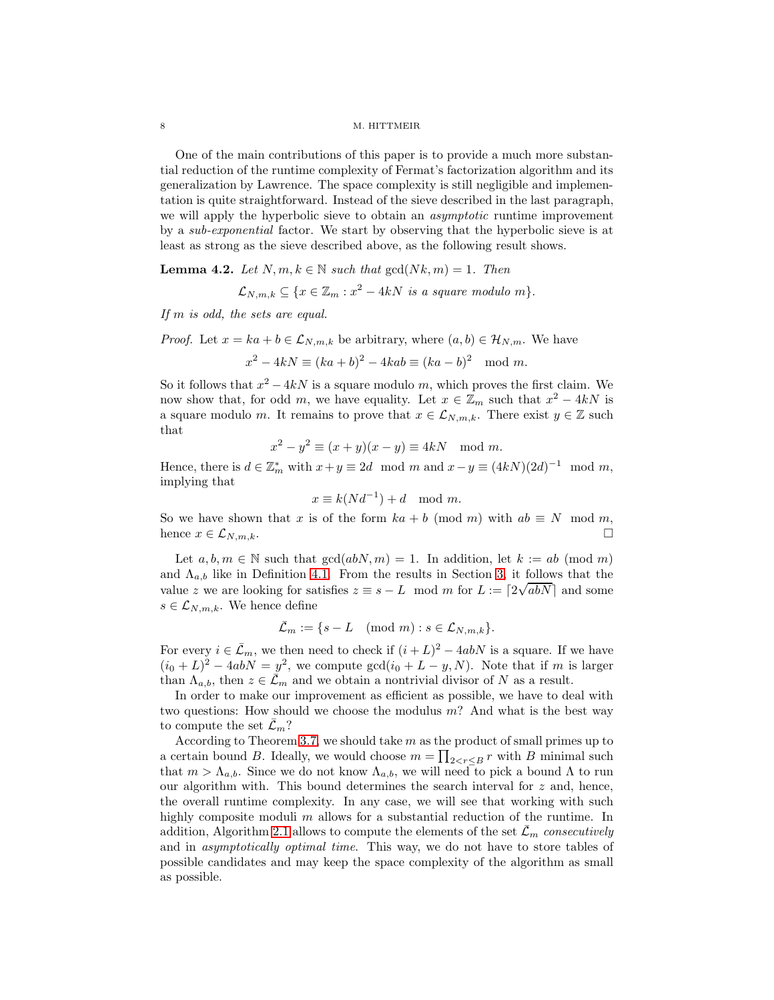One of the main contributions of this paper is to provide a much more substantial reduction of the runtime complexity of Fermat's factorization algorithm and its generalization by Lawrence. The space complexity is still negligible and implementation is quite straightforward. Instead of the sieve described in the last paragraph, we will apply the hyperbolic sieve to obtain an *asymptotic* runtime improvement by a sub-exponential factor. We start by observing that the hyperbolic sieve is at least as strong as the sieve described above, as the following result shows.

<span id="page-7-1"></span>**Lemma 4.2.** Let  $N, m, k \in \mathbb{N}$  such that  $gcd(Nk, m) = 1$ . Then

$$
\mathcal{L}_{N,m,k} \subseteq \{x \in \mathbb{Z}_m : x^2 - 4kN \text{ is a square modulo } m\}.
$$

If m is odd, the sets are equal.

*Proof.* Let  $x = ka + b \in \mathcal{L}_{N,m,k}$  be arbitrary, where  $(a, b) \in \mathcal{H}_{N,m}$ . We have

$$
x2 - 4kN \equiv (ka + b)2 - 4kab \equiv (ka - b)2 \mod m.
$$

So it follows that  $x^2 - 4kN$  is a square modulo m, which proves the first claim. We now show that, for odd m, we have equality. Let  $x \in \mathbb{Z}_m$  such that  $x^2 - 4kN$  is a square modulo m. It remains to prove that  $x \in \mathcal{L}_{N,m,k}$ . There exist  $y \in \mathbb{Z}$  such that

$$
x2 - y2 \equiv (x + y)(x - y) \equiv 4kN \mod m.
$$

Hence, there is  $d \in \mathbb{Z}_m^*$  with  $x + y \equiv 2d \mod m$  and  $x - y \equiv (4kN)(2d)^{-1} \mod m$ , implying that

$$
x \equiv k(Nd^{-1}) + d \mod m.
$$

So we have shown that x is of the form  $ka + b \pmod{m}$  with  $ab \equiv N \mod m$ , hence  $x \in \mathcal{L}_{N,m,k}$ . hence  $x \in \mathcal{L}_{N,m,k}$ .

Let  $a, b, m \in \mathbb{N}$  such that  $gcd(abN, m) = 1$ . In addition, let  $k := ab \pmod{m}$ and  $\Lambda_{a,b}$  like in Definition [4.1.](#page-6-1) From the results in Section [3,](#page-3-0) it follows that the value z we are looking for satisfies  $z \equiv s - L \mod m$  for  $L := \lceil 2\sqrt{abN} \rceil$  and some  $s \in \mathcal{L}_{N,m,k}$ . We hence define

$$
\bar{\mathcal{L}}_m := \{ s - L \pmod{m} : s \in \mathcal{L}_{N,m,k} \}.
$$

For every  $i \in \bar{\mathcal{L}}_m$ , we then need to check if  $(i+L)^2 - 4abN$  is a square. If we have  $(i_0 + L)^2 - 4abN = y^2$ , we compute  $gcd(i_0 + L - y, N)$ . Note that if m is larger than  $\Lambda_{a,b}$ , then  $z \in \bar{\mathcal{L}}_m$  and we obtain a nontrivial divisor of N as a result.

In order to make our improvement as efficient as possible, we have to deal with two questions: How should we choose the modulus  $m$ ? And what is the best way to compute the set  $\bar{\mathcal{L}}_m$ ?

<span id="page-7-0"></span>According to Theorem [3.7,](#page-5-0) we should take  $m$  as the product of small primes up to a certain bound B. Ideally, we would choose  $m = \prod_{2 \leq r \leq B} r$  with B minimal such that  $m > \Lambda_{a,b}$ . Since we do not know  $\Lambda_{a,b}$ , we will need to pick a bound  $\Lambda$  to run our algorithm with. This bound determines the search interval for  $z$  and, hence, the overall runtime complexity. In any case, we will see that working with such highly composite moduli m allows for a substantial reduction of the runtime. In addition, Algorithm [2.1](#page-2-1) allows to compute the elements of the set  $\bar{\mathcal{L}}_m$  consecutively and in asymptotically optimal time. This way, we do not have to store tables of possible candidates and may keep the space complexity of the algorithm as small as possible.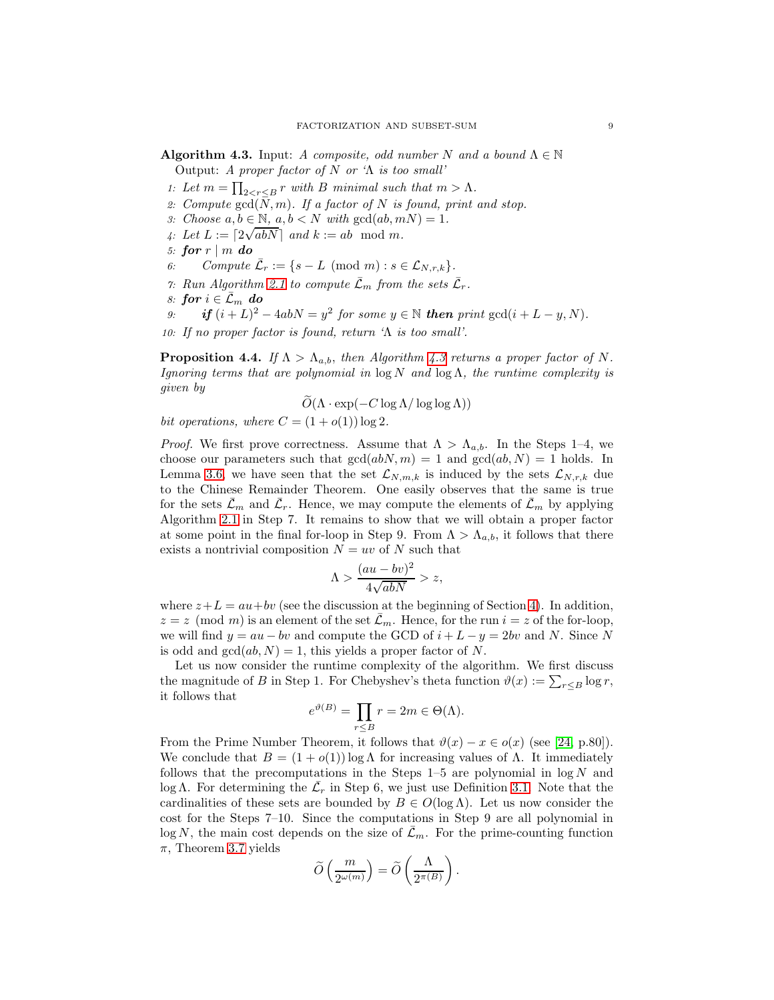**Algorithm 4.3.** Input: A composite, odd number N and a bound  $\Lambda \in \mathbb{N}$ Output: A proper factor of N or ' $\Lambda$  is too small'

- 1: Let  $m = \prod_{2 < r \leq B} r$  with B minimal such that  $m > \Lambda$ .
- 2: Compute  $gcd(N, m)$ . If a factor of N is found, print and stop.
- 3: Choose  $a, b \in \mathbb{N}$ ,  $a, b < N$  with  $gcd(ab, mN) = 1$ .
- 4: Let  $L := \lceil 2\sqrt{abN} \rceil$  and  $k := ab \mod m$ .
- 5: for  $r \mid m$  do<br>6: Compute
- 6: Compute  $\bar{\mathcal{L}}_r := \{ s L \pmod{m} : s \in \mathcal{L}_{N,r,k} \}.$
- 7: Run Algorithm [2.1](#page-2-1) to compute  $\bar{\mathcal{L}}_m$  from the sets  $\bar{\mathcal{L}}_r$ .
- $s: \textbf{\textit{for}}\,\, i \in \bar{\mathcal{L}}_m \, \textbf{\textit{do}} \ s: \quad \textbf{\textit{if}}\,\, (i+L)^2 \, .$
- 9: if  $(i+L)^2 4abN = y^2$  for some  $y \in \mathbb{N}$  then print  $gcd(i+L-y, N)$ .

<span id="page-8-0"></span>10: If no proper factor is found, return ' $\Lambda$  is too small'.

**Proposition 4.4.** If  $\Lambda > \Lambda_{a,b}$ , then Algorithm [4.3](#page-7-0) returns a proper factor of N. Ignoring terms that are polynomial in  $\log N$  and  $\log \Lambda$ , the runtime complexity is given by

$$
O(\Lambda \cdot \exp(-C \log \Lambda / \log \log \Lambda))
$$

bit operations, where 
$$
C = (1 + o(1)) \log 2
$$
.

*Proof.* We first prove correctness. Assume that  $\Lambda > \Lambda_{a,b}$ . In the Steps 1–4, we choose our parameters such that  $gcd(abN, m) = 1$  and  $gcd(ab, N) = 1$  holds. In Lemma [3.6,](#page-4-0) we have seen that the set  $\mathcal{L}_{N,m,k}$  is induced by the sets  $\mathcal{L}_{N,r,k}$  due to the Chinese Remainder Theorem. One easily observes that the same is true for the sets  $\bar{\mathcal{L}}_m$  and  $\bar{\mathcal{L}}_r$ . Hence, we may compute the elements of  $\bar{\mathcal{L}}_m$  by applying Algorithm [2.1](#page-2-1) in Step 7. It remains to show that we will obtain a proper factor at some point in the final for-loop in Step 9. From  $\Lambda > \Lambda_{a,b}$ , it follows that there exists a nontrivial composition  $N = uv$  of N such that

$$
\Lambda > \frac{(au - bv)^2}{4\sqrt{abN}} > z,
$$

where  $z+L = au + bv$  (see the discussion at the beginning of Section [4\)](#page-6-0). In addition,  $z = z \pmod{m}$  is an element of the set  $\overline{\mathcal{L}}_m$ . Hence, for the run  $i = z$  of the for-loop, we will find  $y = au - bv$  and compute the GCD of  $i + L - y = 2bv$  and N. Since N is odd and  $gcd(ab, N) = 1$ , this yields a proper factor of N.

Let us now consider the runtime complexity of the algorithm. We first discuss the magnitude of B in Step 1. For Chebyshev's theta function  $\vartheta(x) := \sum_{r \leq B} \log r$ , it follows that

$$
e^{\vartheta(B)} = \prod_{r \le B} r = 2m \in \Theta(\Lambda).
$$

From the Prime Number Theorem, it follows that  $\vartheta(x) - x \in o(x)$  (see [\[24,](#page-21-14) p.80]). We conclude that  $B = (1 + o(1)) \log \Lambda$  for increasing values of  $\Lambda$ . It immediately follows that the precomputations in the Steps  $1-5$  are polynomial in  $\log N$  and log Λ. For determining the  $\bar{\mathcal{L}}_r$  in Step 6, we just use Definition [3.1.](#page-3-1) Note that the cardinalities of these sets are bounded by  $B \in O(\log \Lambda)$ . Let us now consider the cost for the Steps 7–10. Since the computations in Step 9 are all polynomial in  $\log N$ , the main cost depends on the size of  $\bar{\mathcal{L}}_m$ . For the prime-counting function  $\pi$ , Theorem [3.7](#page-5-0) yields

$$
\widetilde{O}\left(\frac{m}{2^{\omega(m)}}\right)=\widetilde{O}\left(\frac{\Lambda}{2^{\pi(B)}}\right).
$$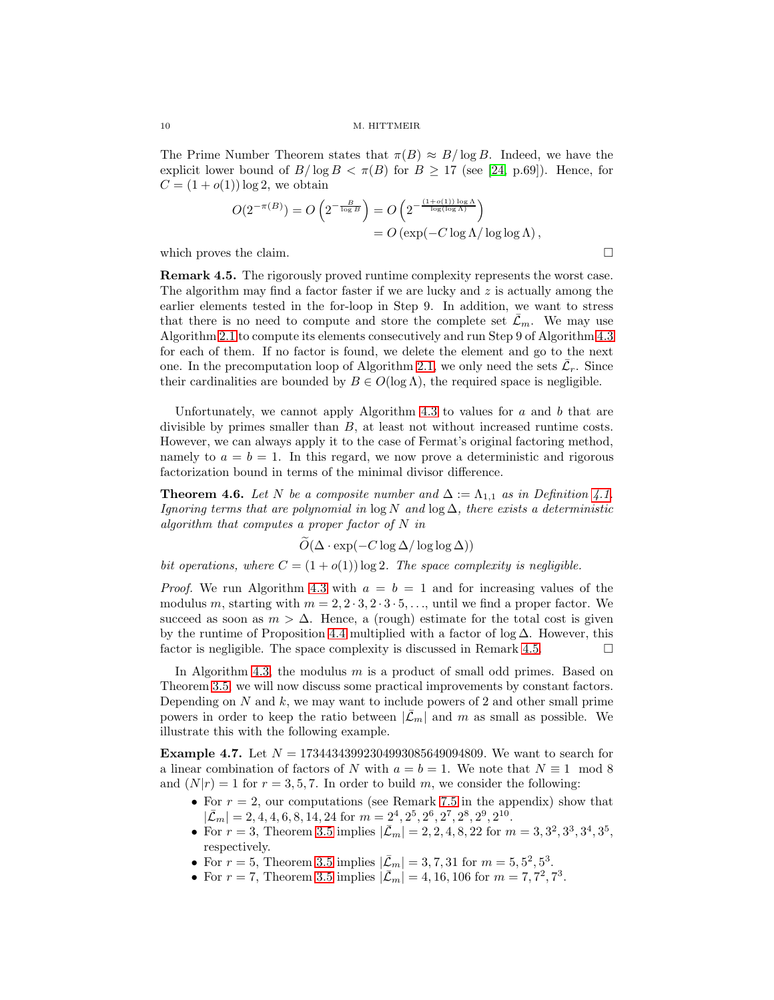The Prime Number Theorem states that  $\pi(B) \approx B/\log B$ . Indeed, we have the explicit lower bound of  $B/\log B < \pi(B)$  for  $B \ge 17$  (see [\[24,](#page-21-14) p.69]). Hence, for  $C = (1 + o(1)) \log 2$ , we obtain

$$
O(2^{-\pi(B)}) = O\left(2^{-\frac{B}{\log B}}\right) = O\left(2^{-\frac{(1+o(1))\log\Lambda}{\log(\log\Lambda)}}\right)
$$
  
= 
$$
O\left(\exp(-C\log\Lambda/\log\log\Lambda)\right),
$$

<span id="page-9-1"></span>which proves the claim.  $\Box$ 

Remark 4.5. The rigorously proved runtime complexity represents the worst case. The algorithm may find a factor faster if we are lucky and  $z$  is actually among the earlier elements tested in the for-loop in Step 9. In addition, we want to stress that there is no need to compute and store the complete set  $\bar{\mathcal{L}}_m$ . We may use Algorithm [2.1](#page-2-1) to compute its elements consecutively and run Step 9 of Algorithm [4.3](#page-7-0) for each of them. If no factor is found, we delete the element and go to the next one. In the precomputation loop of Algorithm [2.1,](#page-2-1) we only need the sets  $\bar{\mathcal{L}}_r$ . Since their cardinalities are bounded by  $B \in O(\log \Lambda)$ , the required space is negligible.

Unfortunately, we cannot apply Algorithm [4.3](#page-7-0) to values for  $a$  and  $b$  that are divisible by primes smaller than B, at least not without increased runtime costs. However, we can always apply it to the case of Fermat's original factoring method, namely to  $a = b = 1$ . In this regard, we now prove a deterministic and rigorous factorization bound in terms of the minimal divisor difference.

<span id="page-9-0"></span>**Theorem 4.6.** Let N be a composite number and  $\Delta := \Lambda_{1,1}$  as in Definition [4.1.](#page-6-1) Ignoring terms that are polynomial in  $\log N$  and  $\log \Delta$ , there exists a deterministic algorithm that computes a proper factor of  $N$  in

$$
\widetilde{O}(\Delta \cdot \exp(-C \log \Delta / \log \log \Delta))
$$

bit operations, where  $C = (1 + o(1)) \log 2$ . The space complexity is negligible.

*Proof.* We run Algorithm [4.3](#page-7-0) with  $a = b = 1$  and for increasing values of the modulus m, starting with  $m = 2, 2 \cdot 3, 2 \cdot 3 \cdot 5, \ldots$ , until we find a proper factor. We succeed as soon as  $m > \Delta$ . Hence, a (rough) estimate for the total cost is given by the runtime of Proposition [4.4](#page-8-0) multiplied with a factor of log  $\Delta$ . However, this factor is negligible. The space complexity is discussed in Remark [4.5.](#page-9-1)  $\Box$ 

In Algorithm [4.3,](#page-7-0) the modulus m is a product of small odd primes. Based on Theorem [3.5,](#page-4-2) we will now discuss some practical improvements by constant factors. Depending on  $N$  and  $k$ , we may want to include powers of 2 and other small prime powers in order to keep the ratio between  $|\bar{\mathcal{L}}_m|$  and m as small as possible. We illustrate this with the following example.

<span id="page-9-2"></span>**Example 4.7.** Let  $N = 17344343992304993085649094809$ . We want to search for a linear combination of factors of N with  $a = b = 1$ . We note that  $N \equiv 1 \mod 8$ and  $(N|r) = 1$  for  $r = 3, 5, 7$ . In order to build m, we consider the following:

- For  $r = 2$ , our computations (see Remark [7.5](#page-19-0) in the appendix) show that  $|\bar{\mathcal{L}}_m| = 2, 4, 4, 6, 8, 14, 24$  for  $m = 2^4, 2^5, 2^6, 2^7, 2^8, 2^9, 2^{10}$ .
- For  $r = 3$ , Theorem [3.5](#page-4-2) implies  $|\bar{\mathcal{L}}_m| = 2, 2, 4, 8, 22$  for  $m = 3, 3^2, 3^3, 3^4, 3^5$ , respectively.
- For  $r = 5$ , Theorem [3.5](#page-4-2) implies  $|\bar{\mathcal{L}}_m| = 3, 7, 31$  for  $m = 5, 5^2, 5^3$ .
- For  $r = 7$ , Theorem [3.5](#page-4-2) implies  $|\bar{\mathcal{L}}_m| = 4, 16, 106$  for  $m = 7, 7^2, 7^3$ .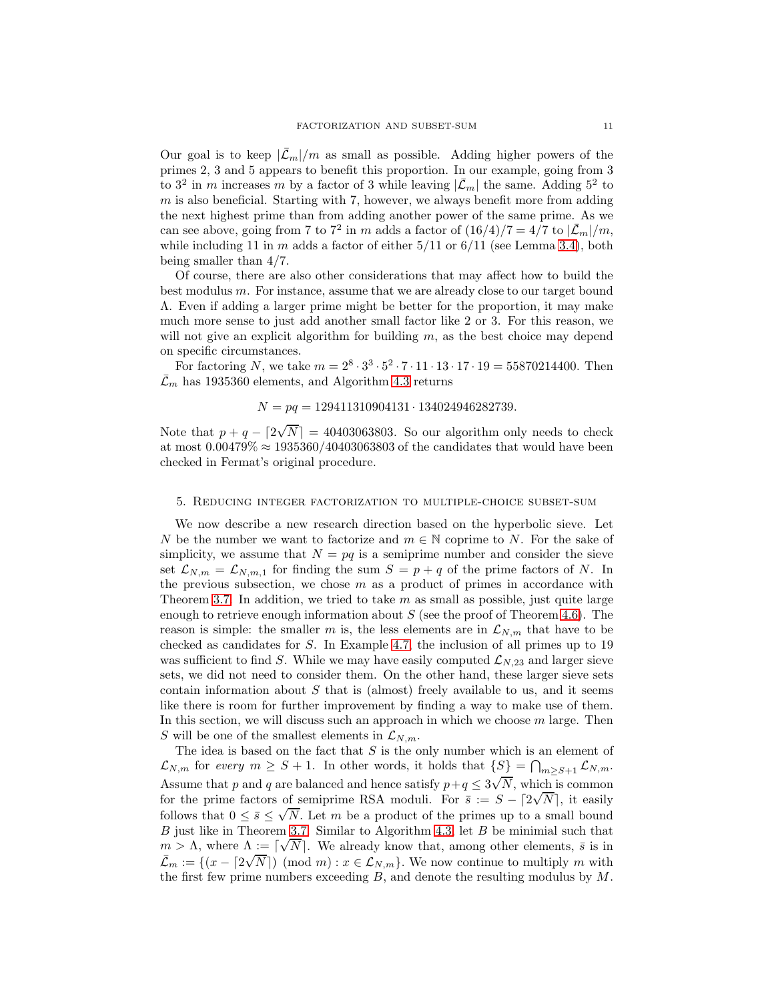Our goal is to keep  $|\bar{\mathcal{L}}_m|/m$  as small as possible. Adding higher powers of the primes 2, 3 and 5 appears to benefit this proportion. In our example, going from 3 to  $3^2$  in m increases m by a factor of 3 while leaving  $|\bar{\mathcal{L}}_m|$  the same. Adding  $5^2$  to  $m$  is also beneficial. Starting with 7, however, we always benefit more from adding the next highest prime than from adding another power of the same prime. As we can see above, going from 7 to 7<sup>2</sup> in m adds a factor of  $(16/4)/7 = 4/7$  to  $|\mathcal{\bar{L}}_m|/m$ , while including 11 in  $m$  adds a factor of either  $5/11$  or  $6/11$  (see Lemma [3.4\)](#page-4-1), both being smaller than 4/7.

Of course, there are also other considerations that may affect how to build the best modulus m. For instance, assume that we are already close to our target bound Λ. Even if adding a larger prime might be better for the proportion, it may make much more sense to just add another small factor like 2 or 3. For this reason, we will not give an explicit algorithm for building  $m$ , as the best choice may depend on specific circumstances.

For factoring N, we take  $m = 2^8 \cdot 3^3 \cdot 5^2 \cdot 7 \cdot 11 \cdot 13 \cdot 17 \cdot 19 = 55870214400$ . Then  $\bar{\mathcal{L}}_m$  has 1935360 elements, and Algorithm [4.3](#page-7-0) returns

# $N = pq = 129411310904131 \cdot 134024946282739.$

Note that  $p + q - \left\lfloor 2\sqrt{N} \right\rfloor = 40403063803$ . So our algorithm only needs to check at most  $0.00479\% \approx 1935360/40403063803$  of the candidates that would have been checked in Fermat's original procedure.

### <span id="page-10-0"></span>5. Reducing integer factorization to multiple-choice subset-sum

We now describe a new research direction based on the hyperbolic sieve. Let N be the number we want to factorize and  $m \in \mathbb{N}$  coprime to N. For the sake of simplicity, we assume that  $N = pq$  is a semiprime number and consider the sieve set  $\mathcal{L}_{N,m} = \mathcal{L}_{N,m,1}$  for finding the sum  $S = p + q$  of the prime factors of N. In the previous subsection, we chose  $m$  as a product of primes in accordance with Theorem [3.7.](#page-5-0) In addition, we tried to take  $m$  as small as possible, just quite large enough to retrieve enough information about  $S$  (see the proof of Theorem [4.6\)](#page-9-0). The reason is simple: the smaller m is, the less elements are in  $\mathcal{L}_{N,m}$  that have to be checked as candidates for S. In Example [4.7,](#page-9-2) the inclusion of all primes up to 19 was sufficient to find S. While we may have easily computed  $\mathcal{L}_{N,23}$  and larger sieve sets, we did not need to consider them. On the other hand, these larger sieve sets contain information about  $S$  that is (almost) freely available to us, and it seems like there is room for further improvement by finding a way to make use of them. In this section, we will discuss such an approach in which we choose  $m$  large. Then S will be one of the smallest elements in  $\mathcal{L}_{N,m}$ .

The idea is based on the fact that  $S$  is the only number which is an element of  $\mathcal{L}_{N,m}$  for every  $m \geq S+1$ . In other words, it holds that  $\{S\} = \bigcap_{m \geq S+1} \mathcal{L}_{N,m}$ . Assume that p and q are balanced and hence satisfy  $p+q \leq 3\sqrt{N}$ , which is common for the prime factors of semiprime RSA moduli. For  $\bar{s} := S - [2\sqrt{N}]$ , it easily follows that  $0 \le \bar{s} \le \sqrt{N}$ . Let m be a product of the primes up to a small bound  $B$  just like in Theorem [3.7.](#page-5-0) Similar to Algorithm [4.3,](#page-7-0) let  $B$  be minimial such that  $m > Λ$ , where  $Λ := [√N]$ . We already know that, among other elements,  $\bar{s}$  is in  $\mathcal{L}_m := \{(x - \lceil 2\sqrt{N} \rceil) \pmod{m} : x \in \mathcal{L}_{N,m}\}.$  We now continue to multiply m with the first few prime numbers exceeding  $B$ , and denote the resulting modulus by  $M$ .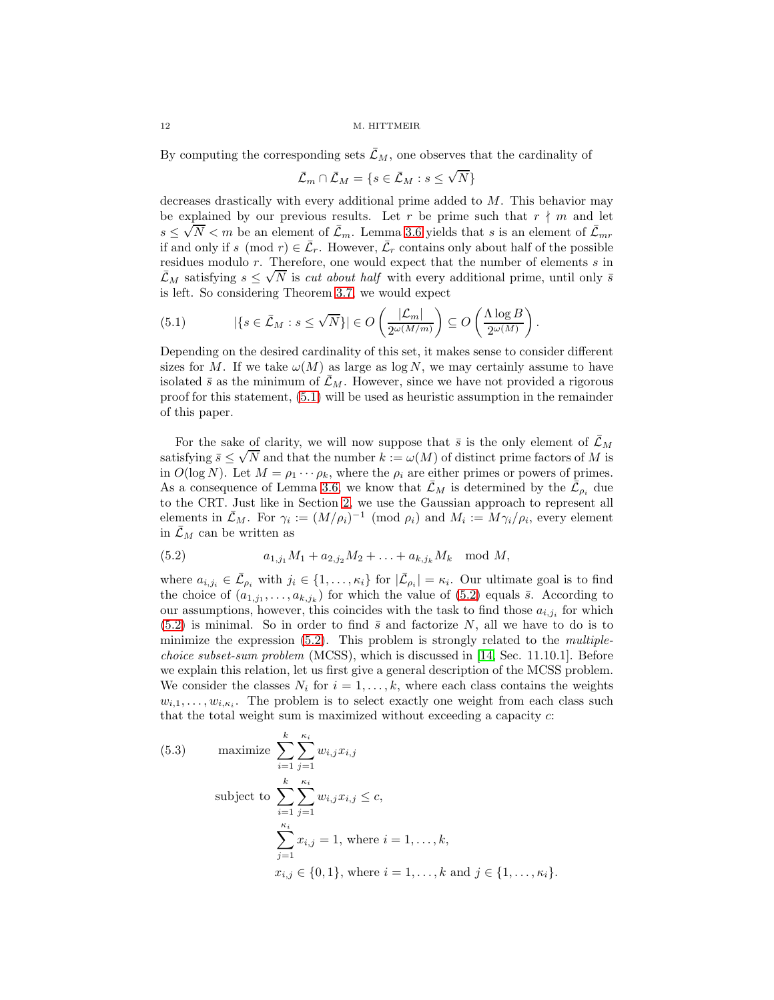By computing the corresponding sets  $\bar{\mathcal{L}}_M$ , one observes that the cardinality of

$$
\bar{\mathcal{L}}_m \cap \bar{\mathcal{L}}_M = \{ s \in \bar{\mathcal{L}}_M : s \le \sqrt{N} \}
$$

decreases drastically with every additional prime added to M. This behavior may be explained by our previous results. Let r be prime such that  $r \nmid m$  and let  $s \leq \sqrt{N} < m$  be an element of  $\bar{\mathcal{L}}_m$ . Lemma [3.6](#page-4-0) yields that s is an element of  $\bar{\mathcal{L}}_{mr}$ if and only if  $s \pmod{r} \in \overline{\mathcal{L}}_r$ . However,  $\overline{\mathcal{L}}_r$  contains only about half of the possible residues modulo r. Therefore, one would expect that the number of elements s in Let  $\vec{\mathcal{L}}_M$  satisfying  $s \leq \sqrt{N}$  is *cut about half* with every additional prime, until only  $\bar{s}$ is left. So considering Theorem [3.7,](#page-5-0) we would expect

<span id="page-11-0"></span>(5.1) 
$$
|\{s \in \bar{\mathcal{L}}_M : s \le \sqrt{N}\}| \in O\left(\frac{|\mathcal{L}_m|}{2^{\omega(M/m)}}\right) \subseteq O\left(\frac{\Lambda \log B}{2^{\omega(M)}}\right).
$$

Depending on the desired cardinality of this set, it makes sense to consider different sizes for M. If we take  $\omega(M)$  as large as log N, we may certainly assume to have isolated  $\bar{s}$  as the minimum of  $\mathcal{L}_M$ . However, since we have not provided a rigorous proof for this statement, [\(5.1\)](#page-11-0) will be used as heuristic assumption in the remainder of this paper.

For the sake of clarity, we will now suppose that  $\bar{s}$  is the only element of  $\bar{\mathcal{L}}_M$ satisfying  $\overline{s} \leq \sqrt{N}$  and that the number  $k := \omega(M)$  of distinct prime factors of M is in  $O(\log N)$ . Let  $M = \rho_1 \cdots \rho_k$ , where the  $\rho_i$  are either primes or powers of primes. As a consequence of Lemma [3.6,](#page-4-0) we know that  $\bar{\mathcal{L}}_M$  is determined by the  $\bar{\mathcal{L}}_{\rho_i}$  due to the CRT. Just like in Section [2,](#page-2-0) we use the Gaussian approach to represent all elements in  $\bar{\mathcal{L}}_M$ . For  $\gamma_i := (M/\rho_i)^{-1}$  (mod  $\rho_i$ ) and  $M_i := M\gamma_i/\rho_i$ , every element in  $\bar{\mathcal{L}}_M$  can be written as

<span id="page-11-1"></span>(5.2) 
$$
a_{1,j_1}M_1 + a_{2,j_2}M_2 + \ldots + a_{k,j_k}M_k \mod M,
$$

where  $a_{i,j_i} \in \bar{\mathcal{L}}_{\rho_i}$  with  $j_i \in \{1, \ldots, \kappa_i\}$  for  $|\bar{\mathcal{L}}_{\rho_i}| = \kappa_i$ . Our ultimate goal is to find the choice of  $(a_{1,j_1},...,a_{k,j_k})$  for which the value of  $(5.2)$  equals  $\bar{s}$ . According to our assumptions, however, this coincides with the task to find those  $a_{i,j_i}$  for which  $(5.2)$  is minimal. So in order to find  $\bar{s}$  and factorize N, all we have to do is to minimize the expression  $(5.2)$ . This problem is strongly related to the *multiple*choice subset-sum problem (MCSS), which is discussed in [\[14,](#page-21-15) Sec. 11.10.1]. Before we explain this relation, let us first give a general description of the MCSS problem. We consider the classes  $N_i$  for  $i = 1, \ldots, k$ , where each class contains the weights  $w_{i,1}, \ldots, w_{i,\kappa_i}$ . The problem is to select exactly one weight from each class such that the total weight sum is maximized without exceeding a capacity c:

<span id="page-11-2"></span>(5.3) maximize 
$$
\sum_{i=1}^{k} \sum_{j=1}^{\kappa_i} w_{i,j} x_{i,j}
$$
  
subject to 
$$
\sum_{i=1}^{k} \sum_{j=1}^{\kappa_i} w_{i,j} x_{i,j} \le c,
$$

$$
\sum_{j=1}^{\kappa_i} x_{i,j} = 1, \text{ where } i = 1, ..., k,
$$

$$
x_{i,j} \in \{0, 1\}, \text{ where } i = 1, ..., k \text{ and } j \in \{1, ..., \kappa_i\}.
$$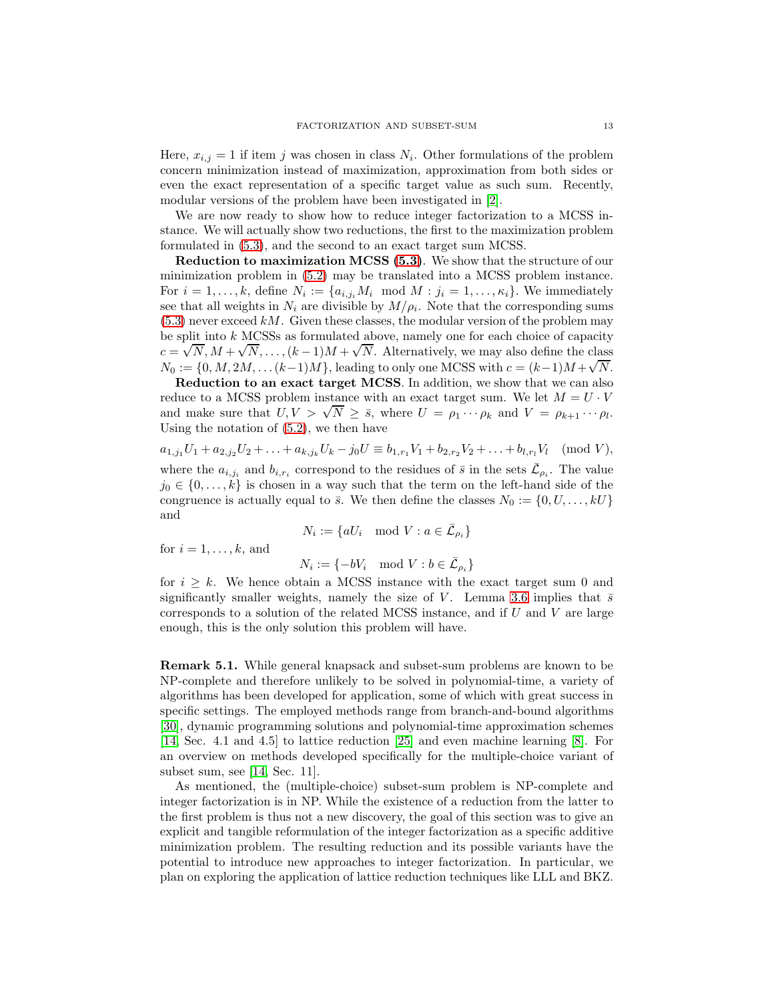Here,  $x_{i,j} = 1$  if item j was chosen in class  $N_i$ . Other formulations of the problem concern minimization instead of maximization, approximation from both sides or even the exact representation of a specific target value as such sum. Recently, modular versions of the problem have been investigated in [\[2\]](#page-20-2).

We are now ready to show how to reduce integer factorization to a MCSS instance. We will actually show two reductions, the first to the maximization problem formulated in [\(5.3\)](#page-11-2), and the second to an exact target sum MCSS.

Reduction to maximization MCSS [\(5.3\)](#page-11-2). We show that the structure of our minimization problem in [\(5.2\)](#page-11-1) may be translated into a MCSS problem instance. For  $i = 1, ..., k$ , define  $N_i := \{a_{i,j_i}M_i \mod M : j_i = 1, ..., \kappa_i\}$ . We immediately see that all weights in  $N_i$  are divisible by  $M/\rho_i$ . Note that the corresponding sums  $(5.3)$  never exceed  $kM$ . Given these classes, the modular version of the problem may be split into  $k$  MCSSs as formulated above, namely one for each choice of capacity  $c = \sqrt{N}, M + \sqrt{N}, \ldots, (k-1)M + \sqrt{N}$ . Alternatively, we may also define the class  $N_0 := \{0, M, 2M, \ldots (k-1)M\}$ , leading to only one MCSS with  $c = (k-1)M + \sqrt{N}$ .

Reduction to an exact target MCSS. In addition, we show that we can also reduce to a MCSS problem instance with an exact target sum. We let  $M = U \cdot V$ and make sure that  $U, V > \sqrt{N} \ge \bar{s}$ , where  $U = \rho_1 \cdots \rho_k$  and  $V = \rho_{k+1} \cdots \rho_l$ . Using the notation of [\(5.2\)](#page-11-1), we then have

 $a_{1,j_1}U_1 + a_{2,j_2}U_2 + \ldots + a_{k,j_k}U_k - j_0U \equiv b_{1,r_1}V_1 + b_{2,r_2}V_2 + \ldots + b_{l,r_l}V_l \pmod{V},$ 

where the  $a_{i,j_i}$  and  $b_{i,r_i}$  correspond to the residues of  $\bar{s}$  in the sets  $\bar{\mathcal{L}}_{\rho_i}$ . The value  $j_0 \in \{0, \ldots, k\}$  is chosen in a way such that the term on the left-hand side of the congruence is actually equal to  $\bar{s}$ . We then define the classes  $N_0 := \{0, U, \ldots, kU\}$ and

$$
N_i := \{ a U_i \mod V : a \in \overline{L}_{\rho_i} \}
$$

for  $i = 1, \ldots, k$ , and

$$
N_i := \{-bV_i \mod V : b \in \overline{L}_{\rho_i}\}\
$$

for  $i \geq k$ . We hence obtain a MCSS instance with the exact target sum 0 and significantly smaller weights, namely the size of V. Lemma [3.6](#page-4-0) implies that  $\bar{s}$ corresponds to a solution of the related MCSS instance, and if  $U$  and  $V$  are large enough, this is the only solution this problem will have.

<span id="page-12-0"></span>Remark 5.1. While general knapsack and subset-sum problems are known to be NP-complete and therefore unlikely to be solved in polynomial-time, a variety of algorithms has been developed for application, some of which with great success in specific settings. The employed methods range from branch-and-bound algorithms [\[30\]](#page-21-16), dynamic programming solutions and polynomial-time approximation schemes [\[14,](#page-21-15) Sec. 4.1 and 4.5] to lattice reduction [\[25\]](#page-21-17) and even machine learning [\[8\]](#page-21-18). For an overview on methods developed specifically for the multiple-choice variant of subset sum, see [\[14,](#page-21-15) Sec. 11].

As mentioned, the (multiple-choice) subset-sum problem is NP-complete and integer factorization is in NP. While the existence of a reduction from the latter to the first problem is thus not a new discovery, the goal of this section was to give an explicit and tangible reformulation of the integer factorization as a specific additive minimization problem. The resulting reduction and its possible variants have the potential to introduce new approaches to integer factorization. In particular, we plan on exploring the application of lattice reduction techniques like LLL and BKZ.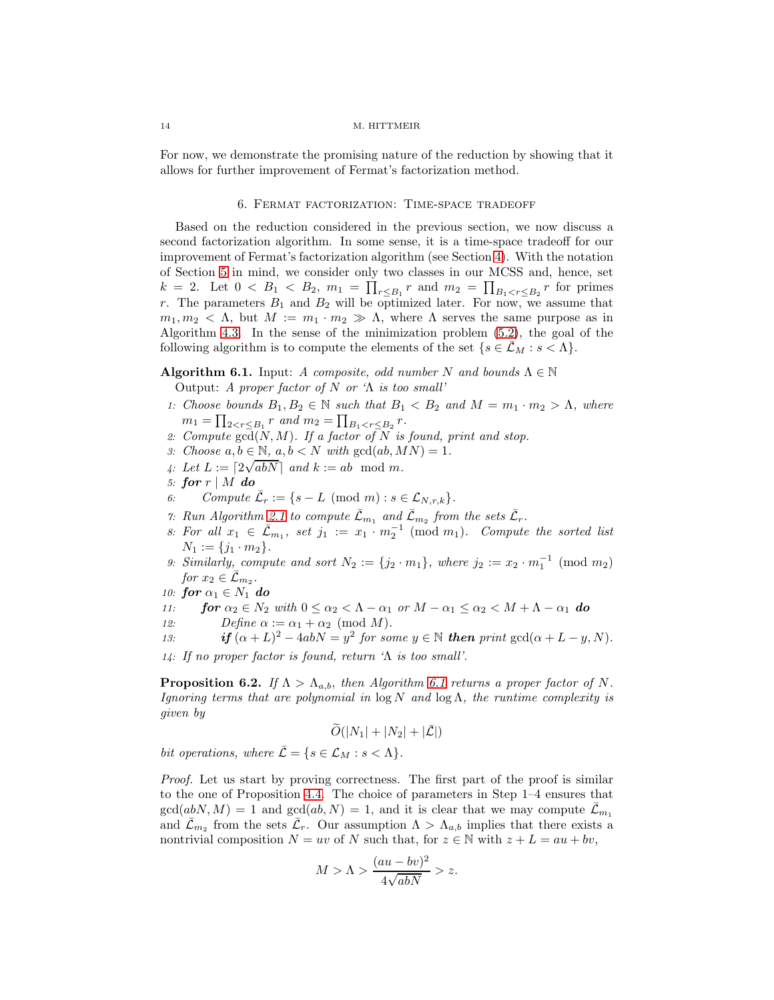<span id="page-13-0"></span>For now, we demonstrate the promising nature of the reduction by showing that it allows for further improvement of Fermat's factorization method.

#### 6. Fermat factorization: Time-space tradeoff

Based on the reduction considered in the previous section, we now discuss a second factorization algorithm. In some sense, it is a time-space tradeoff for our improvement of Fermat's factorization algorithm (see Section [4\)](#page-6-0). With the notation of Section [5](#page-10-0) in mind, we consider only two classes in our MCSS and, hence, set  $k = 2$ . Let  $0 < B_1 < B_2$ ,  $m_1 = \prod_{r \leq B_1} r$  and  $m_2 = \prod_{B_1 < r \leq B_2} r$  for primes r. The parameters  $B_1$  and  $B_2$  will be optimized later. For now, we assume that  $m_1, m_2 < \Lambda$ , but  $M := m_1 \cdot m_2 \gg \Lambda$ , where  $\Lambda$  serves the same purpose as in Algorithm [4.3.](#page-7-0) In the sense of the minimization problem [\(5.2\)](#page-11-1), the goal of the following algorithm is to compute the elements of the set  $\{s \in \mathcal{L}_M : s < \Lambda\}.$ 

# <span id="page-13-1"></span>**Algorithm 6.1.** Input: A composite, odd number N and bounds  $\Lambda \in \mathbb{N}$

Output: A proper factor of  $N$  or ' $\Lambda$  is too small'

- 1: Choose bounds  $B_1, B_2 \in \mathbb{N}$  such that  $B_1 < B_2$  and  $M = m_1 \cdot m_2 > \Lambda$ , where  $m_1 = \prod_{2 < r \leq B_1} r$  and  $m_2 = \prod_{B_1 < r \leq B_2} r$ .
- 2: Compute  $\overline{\text{gcd}}(N, M)$ . If a factor of N is found, print and stop.
- 3: Choose  $a, b \in \mathbb{N}$ ,  $a, b < N$  with  $\gcd(ab, MN) = 1$ .
- 4: Let  $L := \lceil 2\sqrt{abN} \rceil$  and  $k := ab \mod m$ .
- 5: for  $r \mid M$  do<br>6: Compute
- 6: Compute  $\bar{\mathcal{L}}_r := \{ s L \pmod{m} : s \in \mathcal{L}_{N,r,k} \}.$
- 7: Run Algorithm [2.1](#page-2-1) to compute  $\bar{\mathcal{L}}_{m_1}$  and  $\bar{\mathcal{L}}_{m_2}$  from the sets  $\bar{\mathcal{L}}_r$ .
- 8: For all  $x_1 \in \bar{\mathcal{L}}_{m_1}$ , set  $j_1 := x_1 \cdot m_2^{-1} \pmod{m_1}$ . Compute the sorted list  $N_1 := \{j_1 \cdot m_2\}.$
- 9: Similarly, compute and sort  $N_2 := \{j_2 \cdot m_1\}$ , where  $j_2 := x_2 \cdot m_1^{-1} \pmod{m_2}$ for  $x_2 \in \overline{\mathcal{L}}_{m_2}$ .
- 10: for  $\alpha_1 \in N_1$  do<br>
11: for  $\alpha_2 \in N_2$
- 11: **for**  $\alpha_2 \in N_2$  with  $0 \le \alpha_2 < \Lambda \alpha_1$  or  $M \alpha_1 \le \alpha_2 < M + \Lambda \alpha_1$  **do**<br>12: Define  $\alpha := \alpha_1 + \alpha_2 \pmod{M}$ . Define  $\alpha := \alpha_1 + \alpha_2 \pmod{M}$ .
- 13: **if**  $(\alpha + L)^2 4abN = y^2$  for some  $y \in \mathbb{N}$  **then** print  $gcd(\alpha + L y, N)$ .

14: If no proper factor is found, return 'Λ is too small'.

<span id="page-13-2"></span>**Proposition 6.2.** If  $\Lambda > \Lambda_{a,b}$ , then Algorithm [6.1](#page-13-1) returns a proper factor of N. Ignoring terms that are polynomial in  $\log N$  and  $\log \Lambda$ , the runtime complexity is given by

$$
\widetilde{O}(|N_1|+|N_2|+|\bar{\mathcal{L}}|)
$$

bit operations, where  $\overline{\mathcal{L}} = \{s \in \mathcal{L}_M : s < \Lambda\}.$ 

Proof. Let us start by proving correctness. The first part of the proof is similar to the one of Proposition [4.4.](#page-8-0) The choice of parameters in Step 1–4 ensures that  $\gcd(abN, M) = 1$  and  $\gcd(ab, N) = 1$ , and it is clear that we may compute  $\mathcal{L}_{m_1}$ and  $\bar{\mathcal{L}}_{m_2}$  from the sets  $\bar{\mathcal{L}}_r$ . Our assumption  $\Lambda > \Lambda_{a,b}$  implies that there exists a nontrivial composition  $N = uv$  of N such that, for  $z \in \mathbb{N}$  with  $z + L = au + bv$ ,

$$
M > \Lambda > \frac{(au - bv)^2}{4\sqrt{abN}} > z.
$$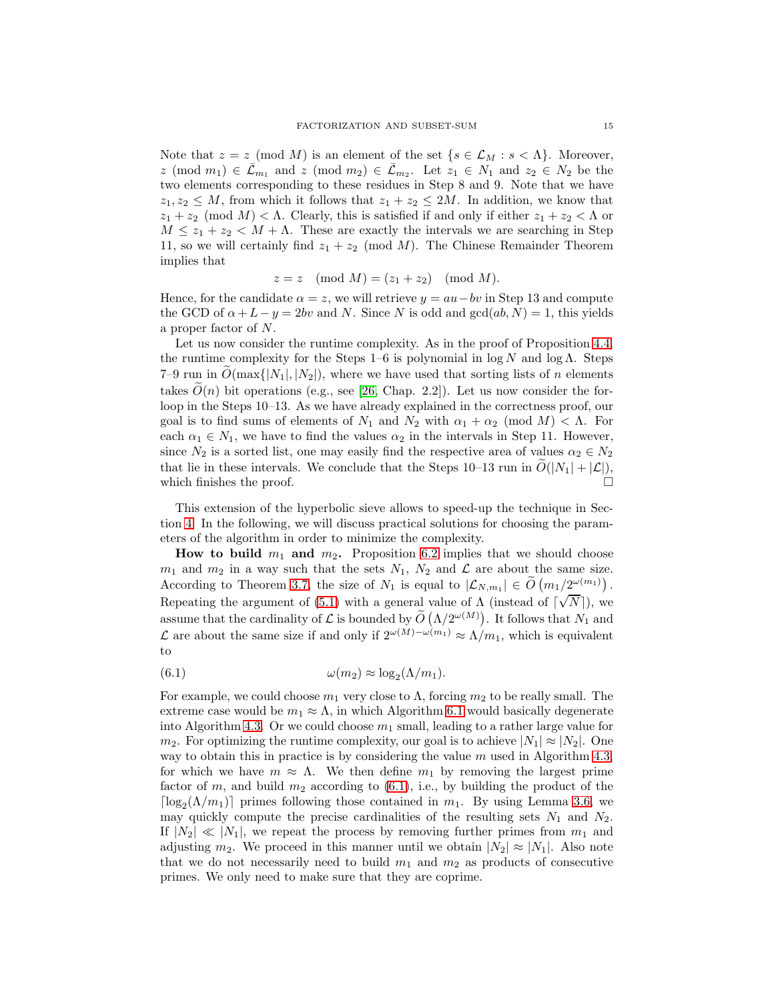Note that  $z = z \pmod{M}$  is an element of the set  $\{s \in \mathcal{L}_M : s < \Lambda\}$ . Moreover,  $z \pmod{m_1} \in \overline{\mathcal{L}}_{m_1}$  and  $z \pmod{m_2} \in \overline{\mathcal{L}}_{m_2}$ . Let  $z_1 \in N_1$  and  $z_2 \in N_2$  be the two elements corresponding to these residues in Step 8 and 9. Note that we have  $z_1, z_2 \leq M$ , from which it follows that  $z_1 + z_2 \leq 2M$ . In addition, we know that  $z_1 + z_2 \pmod{M} < \Lambda$ . Clearly, this is satisfied if and only if either  $z_1 + z_2 < \Lambda$  or  $M \leq z_1 + z_2 < M + \Lambda$ . These are exactly the intervals we are searching in Step 11, so we will certainly find  $z_1 + z_2 \pmod{M}$ . The Chinese Remainder Theorem implies that

$$
z = z \pmod{M} = (z_1 + z_2) \pmod{M}.
$$

Hence, for the candidate  $\alpha = z$ , we will retrieve  $y = au - bv$  in Step 13 and compute the GCD of  $\alpha + L - y = 2bv$  and N. Since N is odd and  $gcd(ab, N) = 1$ , this yields a proper factor of N.

Let us now consider the runtime complexity. As in the proof of Proposition [4.4,](#page-8-0) the runtime complexity for the Steps 1–6 is polynomial in  $\log N$  and  $\log \Lambda$ . Steps 7–9 run in  $\tilde{O}(\max\{|N_1|, |N_2|)$ , where we have used that sorting lists of n elements takes  $O(n)$  bit operations (e.g., see [\[26,](#page-21-19) Chap. 2.2]). Let us now consider the forloop in the Steps 10–13. As we have already explained in the correctness proof, our goal is to find sums of elements of  $N_1$  and  $N_2$  with  $\alpha_1 + \alpha_2 \pmod{M} < \Lambda$ . For each  $\alpha_1 \in N_1$ , we have to find the values  $\alpha_2$  in the intervals in Step 11. However, since  $N_2$  is a sorted list, one may easily find the respective area of values  $\alpha_2 \in N_2$ that lie in these intervals. We conclude that the Steps 10–13 run in  $\tilde{O}(|N_1| + |\mathcal{L}|)$ , which finishes the proof. which finishes the proof.

This extension of the hyperbolic sieve allows to speed-up the technique in Section [4.](#page-6-0) In the following, we will discuss practical solutions for choosing the parameters of the algorithm in order to minimize the complexity.

How to build  $m_1$  and  $m_2$ . Proposition [6.2](#page-13-2) implies that we should choose  $m_1$  and  $m_2$  in a way such that the sets  $N_1$ ,  $N_2$  and  $\mathcal L$  are about the same size. According to Theorem [3.7,](#page-5-0) the size of  $N_1$  is equal to  $|\mathcal{L}_{N,m_1}| \in \widetilde{O}(m_1/2^{\omega(m_1)})$ . Repeating the argument of [\(5.1\)](#page-11-0) with a general value of  $\Lambda$  (instead of  $\lceil \sqrt{N} \rceil$ ), we assume that the cardinality of L is bounded by  $\widetilde{O}(\Lambda/2^{\omega(M)})$ . It follows that  $N_1$  and L are about the same size if and only if  $2^{\omega(M)-\omega(m_1)} ≈ Λ/m_1$ , which is equivalent to

<span id="page-14-0"></span>(6.1) 
$$
\omega(m_2) \approx \log_2(\Lambda/m_1).
$$

For example, we could choose  $m_1$  very close to  $\Lambda$ , forcing  $m_2$  to be really small. The extreme case would be  $m_1 \approx \Lambda$ , in which Algorithm [6.1](#page-13-1) would basically degenerate into Algorithm [4.3.](#page-7-0) Or we could choose  $m_1$  small, leading to a rather large value for  $m_2$ . For optimizing the runtime complexity, our goal is to achieve  $|N_1| \approx |N_2|$ . One way to obtain this in practice is by considering the value  $m$  used in Algorithm [4.3,](#page-7-0) for which we have  $m \approx \Lambda$ . We then define  $m_1$  by removing the largest prime factor of m, and build  $m_2$  according to [\(6.1\)](#page-14-0), i.e., by building the product of the  $\lceil \log_2(\Lambda/m_1) \rceil$  primes following those contained in  $m_1$ . By using Lemma [3.6,](#page-4-0) we may quickly compute the precise cardinalities of the resulting sets  $N_1$  and  $N_2$ . If  $|N_2| \ll |N_1|$ , we repeat the process by removing further primes from  $m_1$  and adjusting  $m_2$ . We proceed in this manner until we obtain  $|N_2| \approx |N_1|$ . Also note that we do not necessarily need to build  $m_1$  and  $m_2$  as products of consecutive primes. We only need to make sure that they are coprime.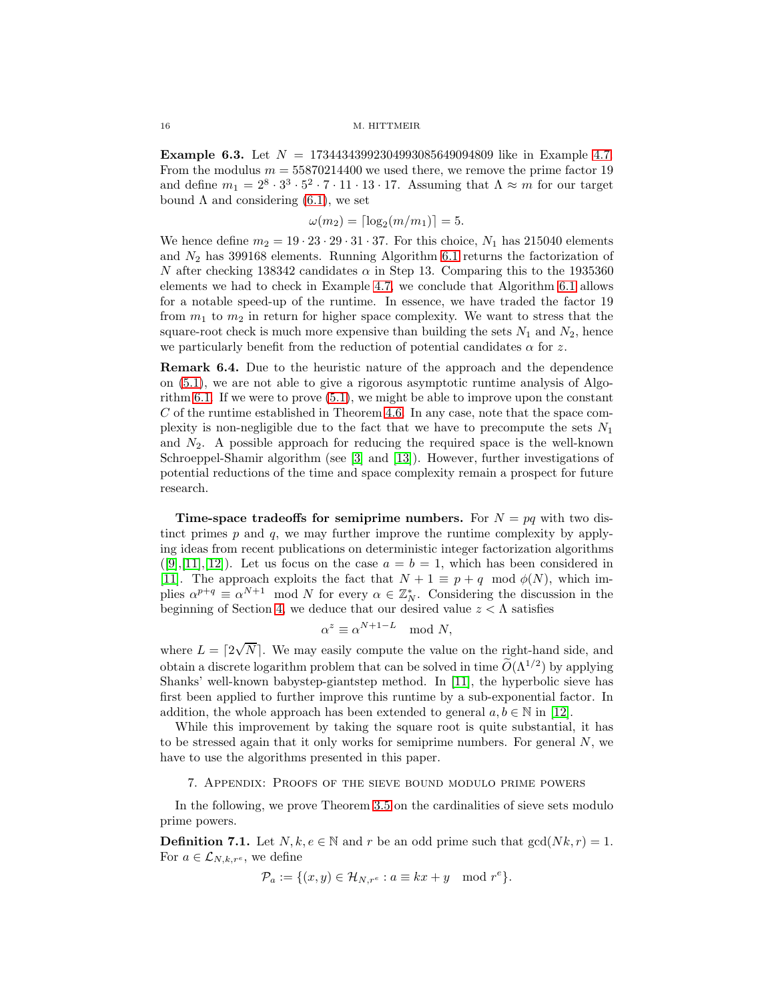**Example 6.3.** Let  $N = 17344343992304993085649094809$  like in Example [4.7.](#page-9-2) From the modulus  $m = 55870214400$  we used there, we remove the prime factor 19 and define  $m_1 = 2^8 \cdot 3^3 \cdot 5^2 \cdot 7 \cdot 11 \cdot 13 \cdot 17$ . Assuming that  $\Lambda \approx m$  for our target bound  $\Lambda$  and considering [\(6.1\)](#page-14-0), we set

$$
\omega(m_2) = \lceil \log_2(m/m_1) \rceil = 5.
$$

We hence define  $m_2 = 19 \cdot 23 \cdot 29 \cdot 31 \cdot 37$ . For this choice,  $N_1$  has 215040 elements and  $N_2$  has 399168 elements. Running Algorithm [6.1](#page-13-1) returns the factorization of N after checking 138342 candidates  $\alpha$  in Step 13. Comparing this to the 1935360 elements we had to check in Example [4.7,](#page-9-2) we conclude that Algorithm [6.1](#page-13-1) allows for a notable speed-up of the runtime. In essence, we have traded the factor 19 from  $m_1$  to  $m_2$  in return for higher space complexity. We want to stress that the square-root check is much more expensive than building the sets  $N_1$  and  $N_2$ , hence we particularly benefit from the reduction of potential candidates  $\alpha$  for z.

Remark 6.4. Due to the heuristic nature of the approach and the dependence on [\(5.1\)](#page-11-0), we are not able to give a rigorous asymptotic runtime analysis of Algorithm [6.1.](#page-13-1) If we were to prove [\(5.1\)](#page-11-0), we might be able to improve upon the constant  $C$  of the runtime established in Theorem [4.6.](#page-9-0) In any case, note that the space complexity is non-negligible due to the fact that we have to precompute the sets  $N_1$ and  $N_2$ . A possible approach for reducing the required space is the well-known Schroeppel-Shamir algorithm (see [\[3\]](#page-20-3) and [\[13\]](#page-21-20)). However, further investigations of potential reductions of the time and space complexity remain a prospect for future research.

**Time-space tradeoffs for semiprime numbers.** For  $N = pq$  with two distinct primes  $p$  and  $q$ , we may further improve the runtime complexity by applying ideas from recent publications on deterministic integer factorization algorithms  $([9],[11],[12])$  $([9],[11],[12])$  $([9],[11],[12])$  $([9],[11],[12])$  $([9],[11],[12])$  $([9],[11],[12])$  $([9],[11],[12])$ . Let us focus on the case  $a = b = 1$ , which has been considered in [\[11\]](#page-21-4). The approach exploits the fact that  $N + 1 \equiv p + q \mod \phi(N)$ , which implies  $\alpha^{p+q} \equiv \alpha^{N+1} \mod N$  for every  $\alpha \in \mathbb{Z}_N^*$ . Considering the discussion in the beginning of Section [4,](#page-6-0) we deduce that our desired value  $z < \Lambda$  satisfies

$$
\alpha^z \equiv \alpha^{N+1-L} \mod N,
$$

where  $L = \lfloor 2\sqrt{N} \rfloor$ . We may easily compute the value on the right-hand side, and obtain a discrete logarithm problem that can be solved in time  $O(\Lambda^{1/2})$  by applying Shanks' well-known babystep-giantstep method. In [\[11\]](#page-21-4), the hyperbolic sieve has first been applied to further improve this runtime by a sub-exponential factor. In addition, the whole approach has been extended to general  $a, b \in \mathbb{N}$  in [\[12\]](#page-21-5).

While this improvement by taking the square root is quite substantial, it has to be stressed again that it only works for semiprime numbers. For general  $N$ , we have to use the algorithms presented in this paper.

# 7. Appendix: Proofs of the sieve bound modulo prime powers

<span id="page-15-0"></span>In the following, we prove Theorem [3.5](#page-4-2) on the cardinalities of sieve sets modulo prime powers.

**Definition 7.1.** Let  $N, k, e \in \mathbb{N}$  and r be an odd prime such that  $gcd(Nk, r) = 1$ . For  $a \in \mathcal{L}_{N,k,r^e}$ , we define

$$
\mathcal{P}_a := \{ (x, y) \in \mathcal{H}_{N, r^e} : a \equiv kx + y \mod r^e \}.
$$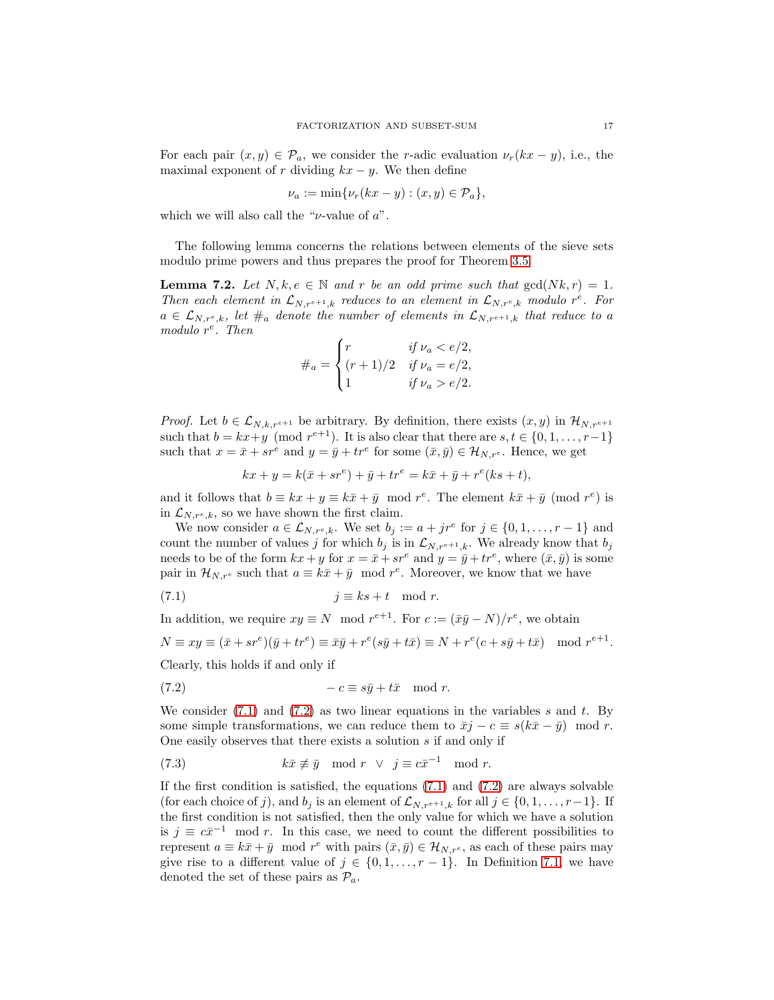For each pair  $(x, y) \in \mathcal{P}_a$ , we consider the r-adic evaluation  $\nu_r(kx - y)$ , i.e., the maximal exponent of r dividing  $kx - y$ . We then define

$$
\nu_a := \min\{\nu_r(kx - y) : (x, y) \in \mathcal{P}_a\},\
$$

which we will also call the " $\nu$ -value of  $a$ ".

<span id="page-16-3"></span>The following lemma concerns the relations between elements of the sieve sets modulo prime powers and thus prepares the proof for Theorem [3.5.](#page-4-2)

**Lemma 7.2.** Let  $N, k, e \in \mathbb{N}$  and r be an odd prime such that  $gcd(Nk, r) = 1$ . Then each element in  $\mathcal{L}_{N,r^{e+1},k}$  reduces to an element in  $\mathcal{L}_{N,r^e,k}$  modulo r<sup>e</sup>. For  $a \in \mathcal{L}_{N,r^e,k}$ , let  $\#_a$  denote the number of elements in  $\mathcal{L}_{N,r^{e+1},k}$  that reduce to a modulo  $r^e$ . Then

$$
\#_a = \begin{cases} r & \text{if } \nu_a < e/2, \\ (r+1)/2 & \text{if } \nu_a = e/2, \\ 1 & \text{if } \nu_a > e/2. \end{cases}
$$

*Proof.* Let  $b \in \mathcal{L}_{N,k,r^{e+1}}$  be arbitrary. By definition, there exists  $(x, y)$  in  $\mathcal{H}_{N,r^{e+1}}$ such that  $b = kx + y \pmod{r^{e+1}}$ . It is also clear that there are  $s, t \in \{0, 1, \ldots, r-1\}$ such that  $x = \bar{x} + sr^e$  and  $y = \bar{y} + tr^e$  for some  $(\bar{x}, \bar{y}) \in \mathcal{H}_{N,r^e}$ . Hence, we get

<span id="page-16-0"></span>
$$
kx + y = k(\bar{x} + sr^e) + \bar{y} + tr^e = k\bar{x} + \bar{y} + r^e(ks + t),
$$

and it follows that  $b \equiv kx + y \equiv k\bar{x} + \bar{y} \mod r^e$ . The element  $k\bar{x} + \bar{y} \pmod{r^e}$  is in  $\mathcal{L}_{N,r^e,k}$ , so we have shown the first claim.

We now consider  $a \in \mathcal{L}_{N,r^e,k}$ . We set  $b_j := a + jr^e$  for  $j \in \{0,1,\ldots,r-1\}$  and count the number of values j for which  $b_j$  is in  $\mathcal{L}_{N,r^{e+1},k}$ . We already know that  $b_j$ needs to be of the form  $kx + y$  for  $x = \bar{x} + sr^e$  and  $y = \bar{y} + tr^e$ , where  $(\bar{x}, \bar{y})$  is some pair in  $\mathcal{H}_{N,r^e}$  such that  $a \equiv k\bar{x} + \bar{y} \mod r^e$ . Moreover, we know that we have

$$
(7.1) \t\t j \equiv ks+t \mod r.
$$

In addition, we require  $xy \equiv N \mod r^{e+1}$ . For  $c := (\bar{x}\bar{y} - N)/r^e$ , we obtain

$$
N \equiv xy \equiv (\bar{x} + sr^e)(\bar{y} + tr^e) \equiv \bar{x}\bar{y} + r^e(s\bar{y} + t\bar{x}) \equiv N + r^e(c + s\bar{y} + t\bar{x}) \mod r^{e+1}.
$$

Clearly, this holds if and only if

<span id="page-16-1"></span>
$$
(7.2) \t -c \equiv s\bar{y} + t\bar{x} \mod r.
$$

We consider  $(7.1)$  $(7.1)$  and  $(7.2)$  as two linear equations in the variables s and t. By some simple transformations, we can reduce them to  $\bar{x}j - c \equiv s(k\bar{x} - \bar{y}) \mod r$ . One easily observes that there exists a solution s if and only if

<span id="page-16-2"></span>(7.3) 
$$
k\bar{x} \not\equiv \bar{y} \mod r \quad \lor \quad j \equiv c\bar{x}^{-1} \mod r.
$$

If the first condition is satisfied, the equations  $(7.1)$  $(7.1)$  and  $(7.2)$  are always solvable (for each choice of j), and  $b_j$  is an element of  $\mathcal{L}_{N,r^{e+1},k}$  for all  $j \in \{0,1,\ldots,r-1\}$ . If the first condition is not satisfied, then the only value for which we have a solution is  $j \equiv c\bar{x}^{-1} \mod r$ . In this case, we need to count the different possibilities to represent  $a \equiv k\bar{x} + \bar{y} \mod r^e$  with pairs  $(\bar{x}, \bar{y}) \in \mathcal{H}_{N,r^e}$ , as each of these pairs may give rise to a different value of  $j \in \{0, 1, \ldots, r-1\}$ . In Definition [7.1,](#page-15-0) we have denoted the set of these pairs as  $\mathcal{P}_a$ .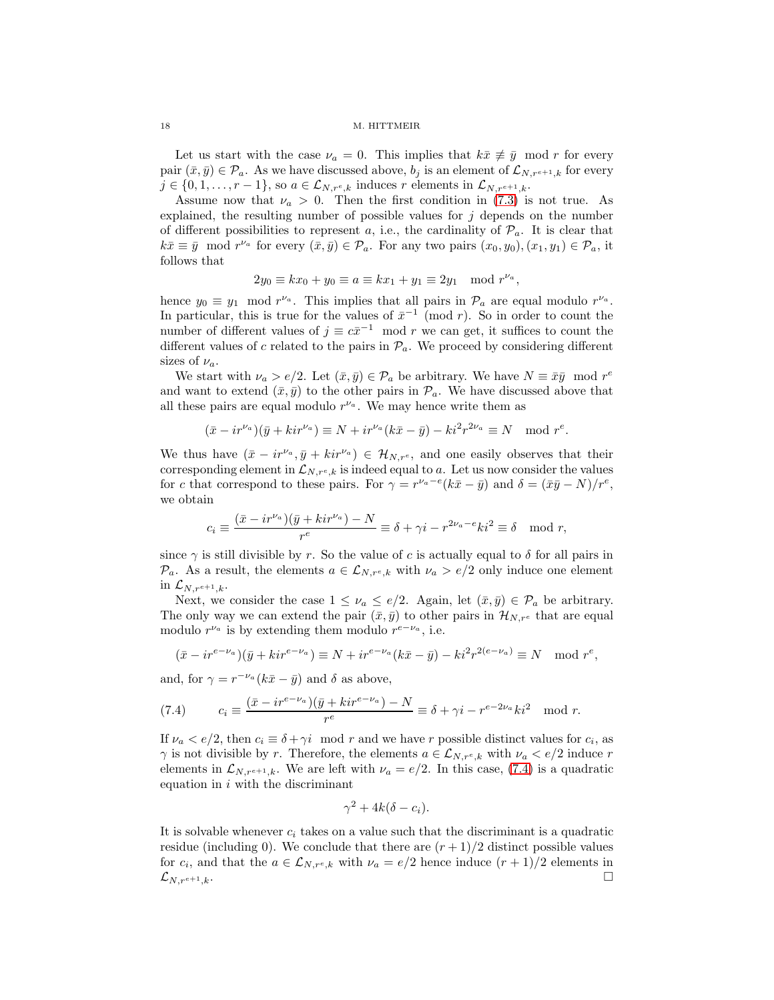Let us start with the case  $\nu_a = 0$ . This implies that  $k\bar{x} \not\equiv \bar{y} \mod r$  for every pair  $(\bar{x}, \bar{y}) \in \mathcal{P}_a$ . As we have discussed above,  $b_j$  is an element of  $\mathcal{L}_{N,r^{e+1},k}$  for every  $j \in \{0, 1, \ldots, r-1\}$ , so  $a \in \mathcal{L}_{N,r^e,k}$  induces r elements in  $\mathcal{L}_{N,r^{e+1},k}$ .

Assume now that  $\nu_a > 0$ . Then the first condition in [\(7.3\)](#page-16-2) is not true. As explained, the resulting number of possible values for  $j$  depends on the number of different possibilities to represent a, i.e., the cardinality of  $\mathcal{P}_a$ . It is clear that  $k\bar{x} \equiv \bar{y} \mod r^{\nu_a}$  for every  $(\bar{x}, \bar{y}) \in \mathcal{P}_a$ . For any two pairs  $(x_0, y_0), (x_1, y_1) \in \mathcal{P}_a$ , it follows that

$$
2y_0 \equiv kx_0 + y_0 \equiv a \equiv kx_1 + y_1 \equiv 2y_1 \mod r^{\nu_a},
$$

hence  $y_0 \equiv y_1 \mod r^{\nu_a}$ . This implies that all pairs in  $\mathcal{P}_a$  are equal modulo  $r^{\nu_a}$ . In particular, this is true for the values of  $\bar{x}^{-1}$  (mod r). So in order to count the number of different values of  $j \equiv c\bar{x}^{-1} \mod r$  we can get, it suffices to count the different values of c related to the pairs in  $\mathcal{P}_a$ . We proceed by considering different sizes of  $\nu_a$ .

We start with  $\nu_a > e/2$ . Let  $(\bar{x}, \bar{y}) \in \mathcal{P}_a$  be arbitrary. We have  $N \equiv \bar{x}\bar{y} \mod r^e$ and want to extend  $(\bar{x}, \bar{y})$  to the other pairs in  $\mathcal{P}_a$ . We have discussed above that all these pairs are equal modulo  $r^{\nu_a}$ . We may hence write them as

$$
(\bar{x} - ir^{\nu_a})(\bar{y} + kir^{\nu_a}) \equiv N + ir^{\nu_a}(k\bar{x} - \bar{y}) - ki^2r^{2\nu_a} \equiv N \mod r^e.
$$

We thus have  $(\bar{x} - ir^{\nu_a}, \bar{y} + kir^{\nu_a}) \in \mathcal{H}_{N,r^e}$ , and one easily observes that their corresponding element in  $\mathcal{L}_{N,r^e,k}$  is indeed equal to a. Let us now consider the values for c that correspond to these pairs. For  $\gamma = r^{\nu_a - e}(k\bar{x} - \bar{y})$  and  $\delta = (\bar{x}\bar{y} - N)/r^e$ , we obtain

$$
c_i \equiv \frac{(\bar{x} - i r^{\nu_a})(\bar{y} + k i r^{\nu_a}) - N}{r^e} \equiv \delta + \gamma i - r^{2\nu_a - e} k i^2 \equiv \delta \mod r,
$$

since  $\gamma$  is still divisible by r. So the value of c is actually equal to  $\delta$  for all pairs in  $\mathcal{P}_a$ . As a result, the elements  $a \in \mathcal{L}_{N,r^e,k}$  with  $\nu_a > e/2$  only induce one element in  $\mathcal{L}_{N,r^{e+1},k}$ .

Next, we consider the case  $1 \leq \nu_a \leq e/2$ . Again, let  $(\bar{x}, \bar{y}) \in \mathcal{P}_a$  be arbitrary. The only way we can extend the pair  $(\bar{x}, \bar{y})$  to other pairs in  $\mathcal{H}_{N,r^e}$  that are equal modulo  $r^{\nu_a}$  is by extending them modulo  $r^{e-\nu_a}$ , i.e.

$$
(\bar{x} - ir^{e-\nu_a})(\bar{y} + kir^{e-\nu_a}) \equiv N + ir^{e-\nu_a}(k\bar{x} - \bar{y}) - ki^2r^{2(e-\nu_a)} \equiv N \mod r^e,
$$

and, for  $\gamma = r^{-\nu_a} (k\bar{x} - \bar{y})$  and  $\delta$  as above,

<span id="page-17-0"></span>(7.4) 
$$
c_i \equiv \frac{(\bar{x} - ir^{e-\nu_a})(\bar{y} + kir^{e-\nu_a}) - N}{r^e} \equiv \delta + \gamma i - r^{e-2\nu_a}ki^2 \mod r.
$$

If  $\nu_a < e/2$ , then  $c_i \equiv \delta + \gamma i \mod r$  and we have r possible distinct values for  $c_i$ , as  $\gamma$  is not divisible by r. Therefore, the elements  $a \in \mathcal{L}_{N,r^e,k}$  with  $\nu_a < e/2$  induce r elements in  $\mathcal{L}_{N,r^{e+1},k}$ . We are left with  $\nu_a = e/2$ . In this case, [\(7.4\)](#page-17-0) is a quadratic equation in  $i$  with the discriminant

$$
\gamma^2 + 4k(\delta - c_i).
$$

<span id="page-17-1"></span>It is solvable whenever  $c_i$  takes on a value such that the discriminant is a quadratic residue (including 0). We conclude that there are  $(r+1)/2$  distinct possible values for  $c_i$ , and that the  $a \in \mathcal{L}_{N,r^e,k}$  with  $\nu_a = e/2$  hence induce  $(r+1)/2$  elements in  $\mathcal{L}_{N,r^{e+1},k}$ .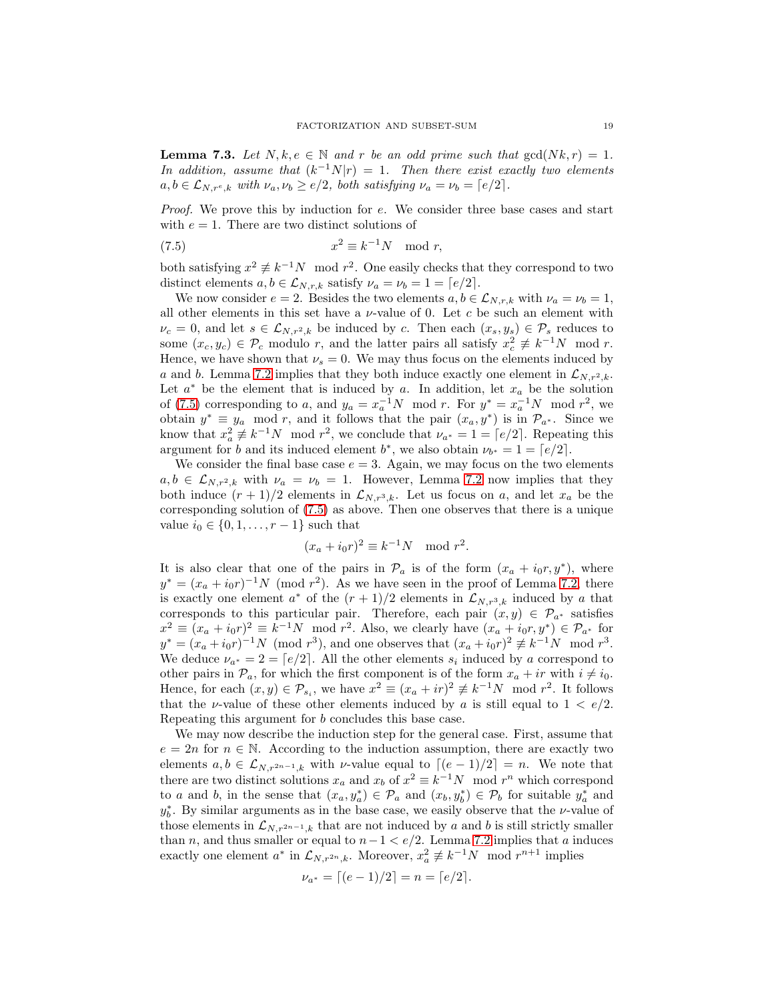**Lemma 7.3.** Let  $N, k, e \in \mathbb{N}$  and r be an odd prime such that  $gcd(Nk, r) = 1$ . In addition, assume that  $(k^{-1}N|r) = 1$ . Then there exist exactly two elements  $a, b \in \mathcal{L}_{N,r^e,k}$  with  $\nu_a, \nu_b \geq e/2$ , both satisfying  $\nu_a = \nu_b = [e/2]$ .

Proof. We prove this by induction for e. We consider three base cases and start with  $e = 1$ . There are two distinct solutions of

<span id="page-18-0"></span>(7.5) 
$$
x^2 \equiv k^{-1}N \mod r,
$$

both satisfying  $x^2 \not\equiv k^{-1}N \mod r^2$ . One easily checks that they correspond to two distinct elements  $a, b \in \mathcal{L}_{N,r,k}$  satisfy  $\nu_a = \nu_b = 1 = \lceil e/2 \rceil$ .

We now consider  $e = 2$ . Besides the two elements  $a, b \in \mathcal{L}_{N,r,k}$  with  $\nu_a = \nu_b = 1$ , all other elements in this set have a  $\nu$ -value of 0. Let c be such an element with  $\nu_c = 0$ , and let  $s \in \mathcal{L}_{N,r^2,k}$  be induced by c. Then each  $(x_s, y_s) \in \mathcal{P}_s$  reduces to some  $(x_c, y_c) \in \mathcal{P}_c$  modulo r, and the latter pairs all satisfy  $x_c^2 \not\equiv k^{-1}N \mod r$ . Hence, we have shown that  $\nu_s = 0$ . We may thus focus on the elements induced by a and b. Lemma [7.2](#page-16-3) implies that they both induce exactly one element in  $\mathcal{L}_{N,r^2,k}$ . Let  $a^*$  be the element that is induced by a. In addition, let  $x_a$  be the solution of [\(7.5\)](#page-18-0) corresponding to a, and  $y_a = x_a^{-1}N \mod r$ . For  $y^* = x_a^{-1}N \mod r^2$ , we obtain  $y^* \equiv y_a \mod r$ , and it follows that the pair  $(x_a, y^*)$  is in  $\mathcal{P}_{a^*}$ . Since we know that  $x_a^2 \not\equiv k^{-1}N \mod r^2$ , we conclude that  $\nu_{a^*} = 1 = \lceil e/2 \rceil$ . Repeating this argument for b and its induced element  $b^*$ , we also obtain  $\nu_{b^*} = 1 = \lfloor e/2 \rfloor$ .

We consider the final base case  $e = 3$ . Again, we may focus on the two elements  $a, b \in \mathcal{L}_{N,r^2,k}$  with  $\nu_a = \nu_b = 1$ . However, Lemma [7.2](#page-16-3) now implies that they both induce  $(r+1)/2$  elements in  $\mathcal{L}_{N,r^3,k}$ . Let us focus on a, and let  $x_a$  be the corresponding solution of [\(7.5\)](#page-18-0) as above. Then one observes that there is a unique value  $i_0$  ∈ {0, 1, . . . ,  $r - 1$ } such that

$$
(x_a + i_0 r)^2 \equiv k^{-1} N \mod r^2.
$$

It is also clear that one of the pairs in  $\mathcal{P}_a$  is of the form  $(x_a + i_0r, y^*)$ , where  $y^* = (x_a + i_0 r)^{-1} N \pmod{r^2}$ . As we have seen in the proof of Lemma [7.2,](#page-16-3) there is exactly one element  $a^*$  of the  $(r + 1)/2$  elements in  $\mathcal{L}_{N,r^3,k}$  induced by a that corresponds to this particular pair. Therefore, each pair  $(x, y) \in \mathcal{P}_{a^*}$  satisfies  $x^2 \equiv (x_a + i_0 r)^2 \equiv k^{-1} N \mod r^2$ . Also, we clearly have  $(x_a + i_0 r, y^*) \in \mathcal{P}_{a^*}$  for  $y^* = (x_a + i_0 r)^{-1} N \pmod{r^3}$ , and one observes that  $(x_a + i_0 r)^2 \not\equiv k^{-1} N \mod{r^3}$ . We deduce  $\nu_{a^*} = 2 = \lfloor e/2 \rfloor$ . All the other elements  $s_i$  induced by a correspond to other pairs in  $\mathcal{P}_a$ , for which the first component is of the form  $x_a + ir$  with  $i \neq i_0$ . Hence, for each  $(x, y) \in \mathcal{P}_{s_i}$ , we have  $x^2 \equiv (x_a + ir)^2 \not\equiv k^{-1}N \mod r^2$ . It follows that the *v*-value of these other elements induced by a is still equal to  $1 < e/2$ . Repeating this argument for b concludes this base case.

We may now describe the induction step for the general case. First, assume that  $e = 2n$  for  $n \in \mathbb{N}$ . According to the induction assumption, there are exactly two elements  $a, b \in \mathcal{L}_{N,r^{2n-1},k}$  with *v*-value equal to  $\lceil (e-1)/2 \rceil = n$ . We note that there are two distinct solutions  $x_a$  and  $x_b$  of  $x^2 \equiv k^{-1}N \mod r^n$  which correspond to a and b, in the sense that  $(x_a, y_a^*) \in \mathcal{P}_a$  and  $(x_b, y_b^*) \in \mathcal{P}_b$  for suitable  $y_a^*$  and  $y_b^*$ . By similar arguments as in the base case, we easily observe that the *v*-value of those elements in  $\mathcal{L}_{N,r^{2n-1},k}$  that are not induced by a and b is still strictly smaller than *n*, and thus smaller or equal to  $n-1 < e/2$ . Lemma [7.2](#page-16-3) implies that *a* induces exactly one element  $a^*$  in  $\mathcal{L}_{N,r^{2n},k}$ . Moreover,  $x_a^2 \not\equiv k^{-1}N \mod r^{n+1}$  implies

$$
\nu_{a^*} = \lceil (e-1)/2 \rceil = n = \lceil e/2 \rceil.
$$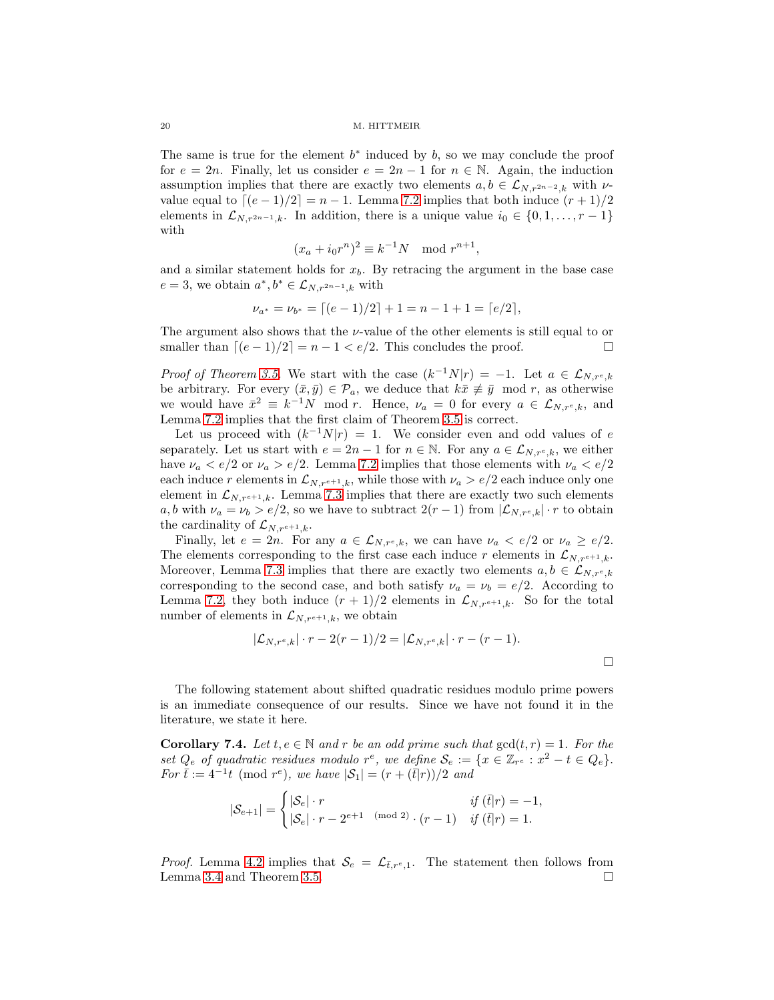The same is true for the element  $b^*$  induced by  $b$ , so we may conclude the proof for  $e = 2n$ . Finally, let us consider  $e = 2n - 1$  for  $n \in \mathbb{N}$ . Again, the induction assumption implies that there are exactly two elements  $a, b \in \mathcal{L}_{N,r^{2n-2},k}$  with  $\nu$ value equal to  $\lfloor (e-1)/2 \rfloor = n-1$ . Lemma [7.2](#page-16-3) implies that both induce  $(r+1)/2$ elements in  $\mathcal{L}_{N,r^{2n-1},k}$ . In addition, there is a unique value  $i_0 \in \{0,1,\ldots,r-1\}$ with

$$
(x_a + i_0 r^n)^2 \equiv k^{-1}N \mod r^{n+1},
$$

and a similar statement holds for  $x_b$ . By retracing the argument in the base case  $e = 3$ , we obtain  $a^*, b^* \in \mathcal{L}_{N,r^{2n-1},k}$  with

$$
\nu_{a^*} = \nu_{b^*} = \lceil (e-1)/2 \rceil + 1 = n - 1 + 1 = \lceil e/2 \rceil,
$$

The argument also shows that the  $\nu$ -value of the other elements is still equal to or smaller than  $\lfloor (e-1)/2 \rfloor = n-1 < e/2$ . This concludes the proof.

*Proof of Theorem [3.5.](#page-4-2)* We start with the case  $(k^{-1}N|r) = -1$ . Let  $a \in \mathcal{L}_{N,r^e,k}$ be arbitrary. For every  $(\bar{x}, \bar{y}) \in \mathcal{P}_a$ , we deduce that  $k\bar{x} \neq \bar{y} \mod r$ , as otherwise we would have  $\bar{x}^2 \equiv k^{-1}N \mod r$ . Hence,  $\nu_a = 0$  for every  $a \in \mathcal{L}_{N,r^e,k}$ , and Lemma [7.2](#page-16-3) implies that the first claim of Theorem [3.5](#page-4-2) is correct.

Let us proceed with  $(k^{-1}N|r) = 1$ . We consider even and odd values of e separately. Let us start with  $e = 2n - 1$  for  $n \in \mathbb{N}$ . For any  $a \in \mathcal{L}_{N,r^e,k}$ , we either have  $\nu_a < e/2$  or  $\nu_a > e/2$ . Lemma [7.2](#page-16-3) implies that those elements with  $\nu_a < e/2$ each induce r elements in  $\mathcal{L}_{N,r^{e+1},k}$ , while those with  $\nu_a > e/2$  each induce only one element in  $\mathcal{L}_{N,r^{e+1},k}$ . Lemma [7.3](#page-17-1) implies that there are exactly two such elements a, b with  $\nu_a = \nu_b > e/2$ , so we have to subtract  $2(r-1)$  from  $|\mathcal{L}_{N,r^e,k}| \cdot r$  to obtain the cardinality of  $\mathcal{L}_{N,r^{e+1},k}$ .

Finally, let  $e = 2n$ . For any  $a \in \mathcal{L}_{N,r^e,k}$ , we can have  $\nu_a < e/2$  or  $\nu_a \geq e/2$ . The elements corresponding to the first case each induce r elements in  $\mathcal{L}_{N,r^{e+1},k}$ . Moreover, Lemma [7.3](#page-17-1) implies that there are exactly two elements  $a, b \in \mathcal{L}_{N,r^e,k}$ corresponding to the second case, and both satisfy  $\nu_a = \nu_b = e/2$ . According to Lemma [7.2,](#page-16-3) they both induce  $(r + 1)/2$  elements in  $\mathcal{L}_{N,r^{e+1},k}$ . So for the total number of elements in  $\mathcal{L}_{N,r^{e+1},k}$ , we obtain

$$
|\mathcal{L}_{N,r^e,k}| \cdot r - 2(r-1)/2 = |\mathcal{L}_{N,r^e,k}| \cdot r - (r-1).
$$

The following statement about shifted quadratic residues modulo prime powers is an immediate consequence of our results. Since we have not found it in the literature, we state it here.

**Corollary 7.4.** Let  $t, e \in \mathbb{N}$  and r be an odd prime such that  $gcd(t, r) = 1$ . For the set  $Q_e$  of quadratic residues modulo r<sup>e</sup>, we define  $S_e := \{x \in \mathbb{Z}_{r^e} : x^2 - t \in Q_e\}.$ For  $\bar{t} := 4^{-1}t \pmod{r^e}$ , we have  $|S_1| = (r + (\bar{t}|r))/2$  and

$$
|\mathcal{S}_{e+1}| = \begin{cases} |\mathcal{S}_{e}| \cdot r & \textit{if } (\bar{t}|r) = -1, \\ |\mathcal{S}_{e}| \cdot r - 2^{e+1} \pmod{2} \cdot (r-1) & \textit{if } (\bar{t}|r) = 1. \end{cases}
$$

<span id="page-19-0"></span>*Proof.* Lemma [4.2](#page-7-1) implies that  $S_e = \mathcal{L}_{\bar{t},r^e,1}$ . The statement then follows from Lemma 3.4 and Theorem 3.5. Lemma [3.4](#page-4-1) and Theorem [3.5.](#page-4-2)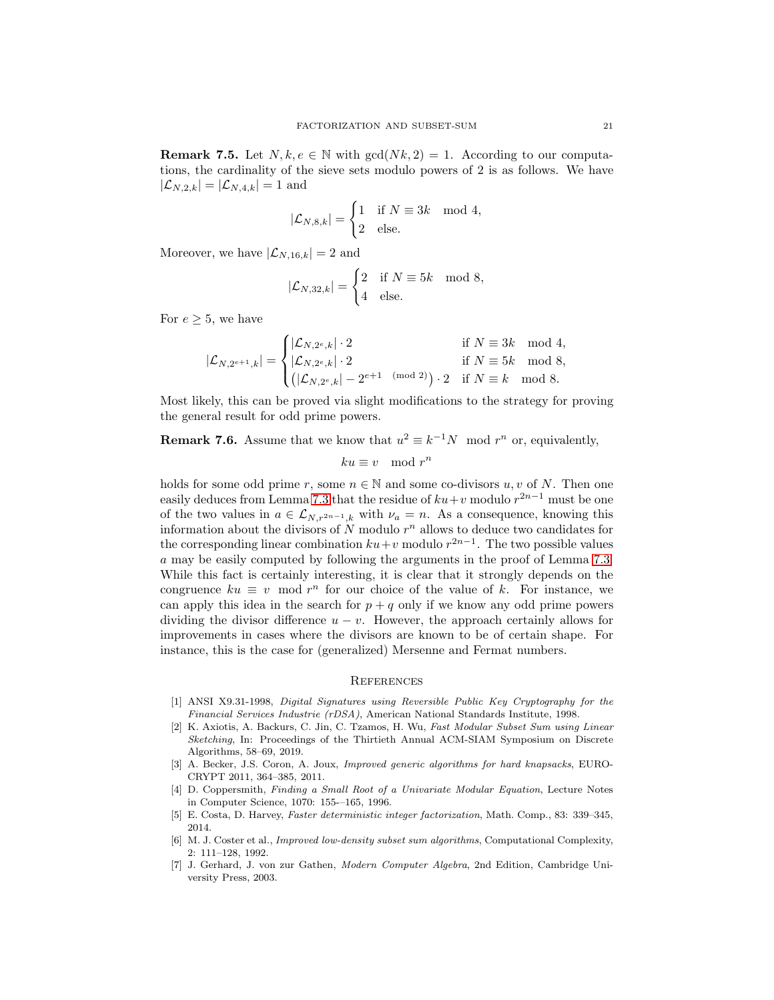**Remark 7.5.** Let  $N, k, e \in \mathbb{N}$  with  $gcd(Nk, 2) = 1$ . According to our computations, the cardinality of the sieve sets modulo powers of 2 is as follows. We have  $|\mathcal{L}_{N,2,k}| = |\mathcal{L}_{N,4,k}| = 1$  and

$$
|\mathcal{L}_{N,8,k}| = \begin{cases} 1 & \text{if } N \equiv 3k \mod 4, \\ 2 & \text{else.} \end{cases}
$$

Moreover, we have  $|\mathcal{L}_{N,16,k}| = 2$  and

$$
|\mathcal{L}_{N,32,k}| = \begin{cases} 2 & \text{if } N \equiv 5k \mod 8, \\ 4 & \text{else.} \end{cases}
$$

For  $e \geq 5$ , we have

$$
|\mathcal{L}_{N,2^{e+1},k}|=\begin{cases}|\mathcal{L}_{N,2^{e},k}|\cdot2 & \text{if }N\equiv 3k\mod 4,\\|\mathcal{L}_{N,2^{e},k}|\cdot2 & \text{if }N\equiv 5k\mod 8,\\ \left(|\mathcal{L}_{N,2^{e},k}|-2^{e+1\pmod 2}\right)\cdot2 & \text{if }N\equiv k\mod 8.\end{cases}
$$

Most likely, this can be proved via slight modifications to the strategy for proving the general result for odd prime powers.

# **Remark 7.6.** Assume that we know that  $u^2 \equiv k^{-1}N \mod r^n$  or, equivalently,

$$
ku \equiv v \mod r^n
$$

holds for some odd prime r, some  $n \in \mathbb{N}$  and some co-divisors u, v of N. Then one easily deduces from Lemma [7.3](#page-17-1) that the residue of  $ku+v$  modulo  $r^{2n-1}$  must be one of the two values in  $a \in \mathcal{L}_{N,r^{2n-1},k}$  with  $\nu_a = n$ . As a consequence, knowing this information about the divisors of  $N$  modulo  $r^n$  allows to deduce two candidates for the corresponding linear combination  $ku+v$  modulo  $r^{2n-1}$ . The two possible values a may be easily computed by following the arguments in the proof of Lemma [7.3.](#page-17-1) While this fact is certainly interesting, it is clear that it strongly depends on the congruence  $ku \equiv v \mod r^n$  for our choice of the value of k. For instance, we can apply this idea in the search for  $p + q$  only if we know any odd prime powers dividing the divisor difference  $u - v$ . However, the approach certainly allows for improvements in cases where the divisors are known to be of certain shape. For instance, this is the case for (generalized) Mersenne and Fermat numbers.

## **REFERENCES**

- <span id="page-20-1"></span>[1] ANSI X9.31-1998, Digital Signatures using Reversible Public Key Cryptography for the Financial Services Industrie (rDSA), American National Standards Institute, 1998.
- <span id="page-20-2"></span>[2] K. Axiotis, A. Backurs, C. Jin, C. Tzamos, H. Wu, Fast Modular Subset Sum using Linear Sketching, In: Proceedings of the Thirtieth Annual ACM-SIAM Symposium on Discrete Algorithms, 58–69, 2019.
- <span id="page-20-3"></span>[3] A. Becker, J.S. Coron, A. Joux, Improved generic algorithms for hard knapsacks, EURO-CRYPT 2011, 364–385, 2011.
- [4] D. Coppersmith, Finding a Small Root of a Univariate Modular Equation, Lecture Notes in Computer Science, 1070: 155-–165, 1996.
- <span id="page-20-0"></span>[5] E. Costa, D. Harvey, Faster deterministic integer factorization, Math. Comp., 83: 339–345, 2014.
- [6] M. J. Coster et al., *Improved low-density subset sum algorithms*, Computational Complexity, 2: 111–128, 1992.
- [7] J. Gerhard, J. von zur Gathen, Modern Computer Algebra, 2nd Edition, Cambridge University Press, 2003.